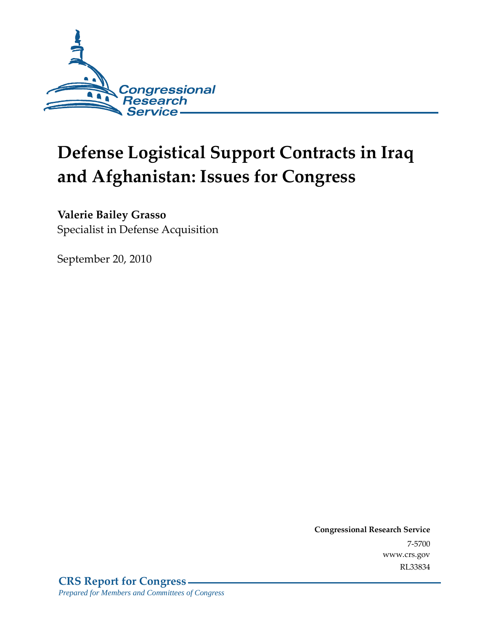

# **Defense Logistical Support Contracts in Iraq and Afghanistan: Issues for Congress**

**Valerie Bailey Grasso** 

Specialist in Defense Acquisition

September 20, 2010

**Congressional Research Service** 7-5700 www.crs.gov RL33834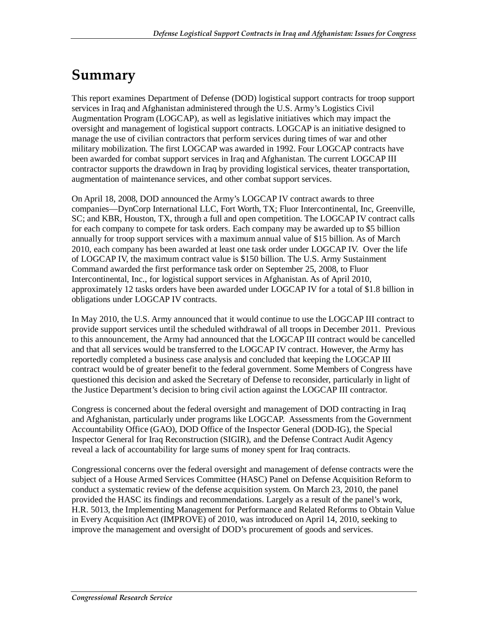## **Summary**

This report examines Department of Defense (DOD) logistical support contracts for troop support services in Iraq and Afghanistan administered through the U.S. Army's Logistics Civil Augmentation Program (LOGCAP), as well as legislative initiatives which may impact the oversight and management of logistical support contracts. LOGCAP is an initiative designed to manage the use of civilian contractors that perform services during times of war and other military mobilization. The first LOGCAP was awarded in 1992. Four LOGCAP contracts have been awarded for combat support services in Iraq and Afghanistan. The current LOGCAP III contractor supports the drawdown in Iraq by providing logistical services, theater transportation, augmentation of maintenance services, and other combat support services.

On April 18, 2008, DOD announced the Army's LOGCAP IV contract awards to three companies—DynCorp International LLC, Fort Worth, TX; Fluor Intercontinental, Inc, Greenville, SC; and KBR, Houston, TX, through a full and open competition. The LOGCAP IV contract calls for each company to compete for task orders. Each company may be awarded up to \$5 billion annually for troop support services with a maximum annual value of \$15 billion. As of March 2010, each company has been awarded at least one task order under LOGCAP IV. Over the life of LOGCAP IV, the maximum contract value is \$150 billion. The U.S. Army Sustainment Command awarded the first performance task order on September 25, 2008, to Fluor Intercontinental, Inc., for logistical support services in Afghanistan. As of April 2010, approximately 12 tasks orders have been awarded under LOGCAP IV for a total of \$1.8 billion in obligations under LOGCAP IV contracts.

In May 2010, the U.S. Army announced that it would continue to use the LOGCAP III contract to provide support services until the scheduled withdrawal of all troops in December 2011. Previous to this announcement, the Army had announced that the LOGCAP III contract would be cancelled and that all services would be transferred to the LOGCAP IV contract. However, the Army has reportedly completed a business case analysis and concluded that keeping the LOGCAP III contract would be of greater benefit to the federal government. Some Members of Congress have questioned this decision and asked the Secretary of Defense to reconsider, particularly in light of the Justice Department's decision to bring civil action against the LOGCAP III contractor.

Congress is concerned about the federal oversight and management of DOD contracting in Iraq and Afghanistan, particularly under programs like LOGCAP. Assessments from the Government Accountability Office (GAO), DOD Office of the Inspector General (DOD-IG), the Special Inspector General for Iraq Reconstruction (SIGIR), and the Defense Contract Audit Agency reveal a lack of accountability for large sums of money spent for Iraq contracts.

Congressional concerns over the federal oversight and management of defense contracts were the subject of a House Armed Services Committee (HASC) Panel on Defense Acquisition Reform to conduct a systematic review of the defense acquisition system. On March 23, 2010, the panel provided the HASC its findings and recommendations. Largely as a result of the panel's work, H.R. 5013, the Implementing Management for Performance and Related Reforms to Obtain Value in Every Acquisition Act (IMPROVE) of 2010, was introduced on April 14, 2010, seeking to improve the management and oversight of DOD's procurement of goods and services.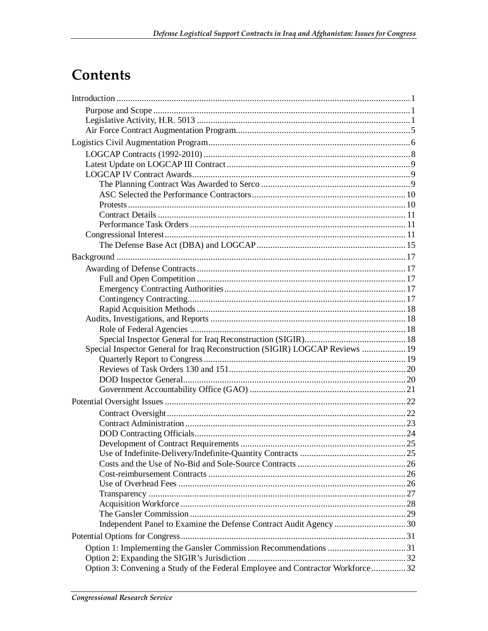## Contents

| Special Inspector General for Iraq Reconstruction (SIGIR) LOGCAP Reviews  19   |  |
|--------------------------------------------------------------------------------|--|
|                                                                                |  |
|                                                                                |  |
|                                                                                |  |
|                                                                                |  |
|                                                                                |  |
|                                                                                |  |
|                                                                                |  |
|                                                                                |  |
|                                                                                |  |
|                                                                                |  |
|                                                                                |  |
|                                                                                |  |
|                                                                                |  |
|                                                                                |  |
|                                                                                |  |
|                                                                                |  |
|                                                                                |  |
|                                                                                |  |
|                                                                                |  |
|                                                                                |  |
| Option 3: Convening a Study of the Federal Employee and Contractor Workforce32 |  |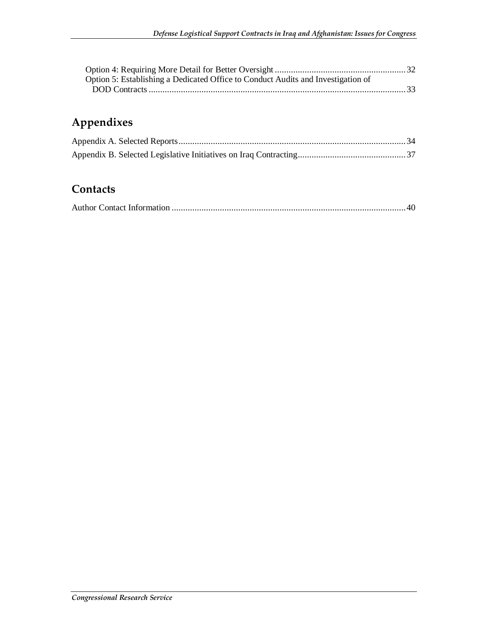| Option 5: Establishing a Dedicated Office to Conduct Audits and Investigation of |  |
|----------------------------------------------------------------------------------|--|
|                                                                                  |  |

## **Appendixes**

## **Contacts**

|--|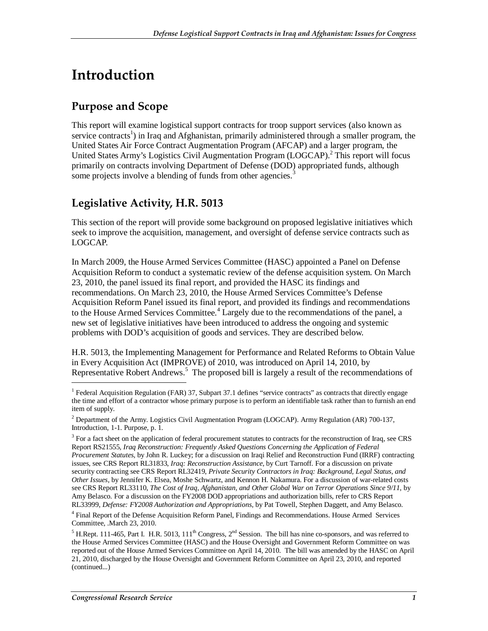## **Introduction**

## **Purpose and Scope**

This report will examine logistical support contracts for troop support services (also known as service contracts<sup>1</sup>) in Iraq and Afghanistan, primarily administered through a smaller program, the United States Air Force Contract Augmentation Program (AFCAP) and a larger program, the United States Army's Logistics Civil Augmentation Program (LOGCAP).<sup>2</sup> This report will focus primarily on contracts involving Department of Defense (DOD) appropriated funds, although some projects involve a blending of funds from other agencies.<sup>3</sup>

## **Legislative Activity, H.R. 5013**

This section of the report will provide some background on proposed legislative initiatives which seek to improve the acquisition, management, and oversight of defense service contracts such as LOGCAP.

In March 2009, the House Armed Services Committee (HASC) appointed a Panel on Defense Acquisition Reform to conduct a systematic review of the defense acquisition system. On March 23, 2010, the panel issued its final report, and provided the HASC its findings and recommendations. On March 23, 2010, the House Armed Services Committee's Defense Acquisition Reform Panel issued its final report, and provided its findings and recommendations to the House Armed Services Committee.<sup>4</sup> Largely due to the recommendations of the panel, a new set of legislative initiatives have been introduced to address the ongoing and systemic problems with DOD's acquisition of goods and services. They are described below.

H.R. 5013, the Implementing Management for Performance and Related Reforms to Obtain Value in Every Acquisition Act (IMPROVE) of 2010, was introduced on April 14, 2010, by Representative Robert Andrews.<sup>5</sup> The proposed bill is largely a result of the recommendations of

<sup>&</sup>lt;sup>1</sup> Federal Acquisition Regulation (FAR) 37, Subpart 37.1 defines "service contracts" as contracts that directly engage the time and effort of a contractor whose primary purpose is to perform an identifiable task rather than to furnish an end item of supply.

<sup>&</sup>lt;sup>2</sup> Department of the Army. Logistics Civil Augmentation Program (LOGCAP). Army Regulation (AR) 700-137, Introduction, 1-1. Purpose, p. 1.

<sup>&</sup>lt;sup>3</sup> For a fact sheet on the application of federal procurement statutes to contracts for the reconstruction of Iraq, see CRS Report RS21555, *Iraq Reconstruction: Frequently Asked Questions Concerning the Application of Federal Procurement Statutes*, by John R. Luckey; for a discussion on Iraqi Relief and Reconstruction Fund (IRRF) contracting issues, see CRS Report RL31833, *Iraq: Reconstruction Assistance*, by Curt Tarnoff. For a discussion on private security contracting see CRS Report RL32419, *Private Security Contractors in Iraq: Background, Legal Status, and Other Issues*, by Jennifer K. Elsea, Moshe Schwartz, and Kennon H. Nakamura. For a discussion of war-related costs see CRS Report RL33110, *The Cost of Iraq, Afghanistan, and Other Global War on Terror Operations Since 9/11*, by Amy Belasco. For a discussion on the FY2008 DOD appropriations and authorization bills, refer to CRS Report RL33999, *Defense: FY2008 Authorization and Appropriations*, by Pat Towell, Stephen Daggett, and Amy Belasco.

<sup>&</sup>lt;sup>4</sup> Final Report of the Defense Acquisition Reform Panel, Findings and Recommendations. House Armed Services Committee, .March 23, 2010.

<sup>&</sup>lt;sup>5</sup> H.Rept. 111-465, Part I. H.R. 5013, 111<sup>th</sup> Congress,  $2^{nd}$  Session. The bill has nine co-sponsors, and was referred to the House Armed Services Committee (HASC) and the House Oversight and Government Reform Committee on was reported out of the House Armed Services Committee on April 14, 2010. The bill was amended by the HASC on April 21, 2010, discharged by the House Oversight and Government Reform Committee on April 23, 2010, and reported (continued...)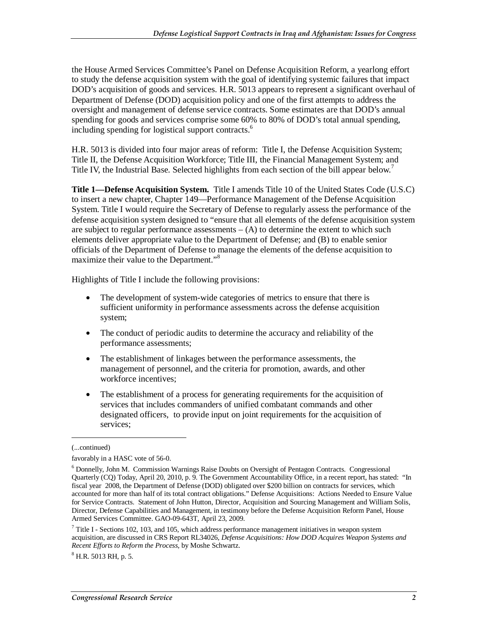the House Armed Services Committee's Panel on Defense Acquisition Reform, a yearlong effort to study the defense acquisition system with the goal of identifying systemic failures that impact DOD's acquisition of goods and services. H.R. 5013 appears to represent a significant overhaul of Department of Defense (DOD) acquisition policy and one of the first attempts to address the oversight and management of defense service contracts. Some estimates are that DOD's annual spending for goods and services comprise some 60% to 80% of DOD's total annual spending, including spending for logistical support contracts.<sup>6</sup>

H.R. 5013 is divided into four major areas of reform: Title I, the Defense Acquisition System; Title II, the Defense Acquisition Workforce; Title III, the Financial Management System; and Title IV, the Industrial Base. Selected highlights from each section of the bill appear below.<sup>7</sup>

**Title 1—Defense Acquisition System.** Title I amends Title 10 of the United States Code (U.S.C) to insert a new chapter, Chapter 149—Performance Management of the Defense Acquisition System. Title I would require the Secretary of Defense to regularly assess the performance of the defense acquisition system designed to "ensure that all elements of the defense acquisition system are subject to regular performance assessments  $- (A)$  to determine the extent to which such elements deliver appropriate value to the Department of Defense; and (B) to enable senior officials of the Department of Defense to manage the elements of the defense acquisition to maximize their value to the Department."<sup>8</sup>

Highlights of Title I include the following provisions:

- The development of system-wide categories of metrics to ensure that there is sufficient uniformity in performance assessments across the defense acquisition system;
- The conduct of periodic audits to determine the accuracy and reliability of the performance assessments;
- The establishment of linkages between the performance assessments, the management of personnel, and the criteria for promotion, awards, and other workforce incentives;
- The establishment of a process for generating requirements for the acquisition of services that includes commanders of unified combatant commands and other designated officers, to provide input on joint requirements for the acquisition of services;

<sup>(...</sup>continued)

favorably in a HASC vote of 56-0.

<sup>&</sup>lt;sup>6</sup> Donnelly, John M. Commission Warnings Raise Doubts on Oversight of Pentagon Contracts. Congressional Quarterly (CQ) Today, April 20, 2010, p. 9. The Government Accountability Office, in a recent report, has stated: "In fiscal year 2008, the Department of Defense (DOD) obligated over \$200 billion on contracts for services, which accounted for more than half of its total contract obligations." Defense Acquisitions: Actions Needed to Ensure Value for Service Contracts. Statement of John Hutton, Director, Acquisition and Sourcing Management and William Solis, Director, Defense Capabilities and Management, in testimony before the Defense Acquisition Reform Panel, House Armed Services Committee. GAO-09-643T, April 23, 2009.

 $7$  Title I - Sections 102, 103, and 105, which address performance management initiatives in weapon system acquisition, are discussed in CRS Report RL34026, *Defense Acquisitions: How DOD Acquires Weapon Systems and Recent Efforts to Reform the Process*, by Moshe Schwartz.

<sup>8</sup> H.R. 5013 RH, p. 5.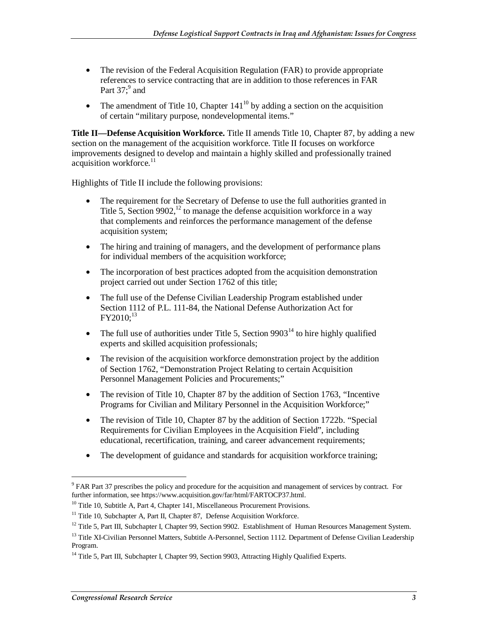- The revision of the Federal Acquisition Regulation (FAR) to provide appropriate references to service contracting that are in addition to those references in FAR Part  $37$ ;  $9$  and
- The amendment of Title 10, Chapter  $141^{10}$  by adding a section on the acquisition of certain "military purpose, nondevelopmental items."

**Title II—Defense Acquisition Workforce.** Title II amends Title 10, Chapter 87, by adding a new section on the management of the acquisition workforce. Title II focuses on workforce improvements designed to develop and maintain a highly skilled and professionally trained acquisition workforce.<sup>11</sup>

Highlights of Title II include the following provisions:

- The requirement for the Secretary of Defense to use the full authorities granted in Title 5, Section 9902,<sup>12</sup> to manage the defense acquisition workforce in a way that complements and reinforces the performance management of the defense acquisition system;
- The hiring and training of managers, and the development of performance plans for individual members of the acquisition workforce;
- The incorporation of best practices adopted from the acquisition demonstration project carried out under Section 1762 of this title;
- The full use of the Defense Civilian Leadership Program established under Section 1112 of P.L. 111-84, the National Defense Authorization Act for  $FY2010;^{13}$
- The full use of authorities under Title 5, Section  $9903<sup>14</sup>$  to hire highly qualified experts and skilled acquisition professionals;
- The revision of the acquisition workforce demonstration project by the addition of Section 1762, "Demonstration Project Relating to certain Acquisition Personnel Management Policies and Procurements;"
- The revision of Title 10, Chapter 87 by the addition of Section 1763, "Incentive Programs for Civilian and Military Personnel in the Acquisition Workforce;"
- The revision of Title 10, Chapter 87 by the addition of Section 1722b. "Special Requirements for Civilian Employees in the Acquisition Field", including educational, recertification, training, and career advancement requirements;
- The development of guidance and standards for acquisition workforce training;

<sup>&</sup>lt;sup>9</sup> FAR Part 37 prescribes the policy and procedure for the acquisition and management of services by contract. For further information, see https://www.acquisition.gov/far/html/FARTOCP37.html.<br><sup>10</sup> Title 10, Subtitle A, Part 4, Chapter 141, Miscellaneous Procurement Provisions.

 $11$  Title 10, Subchapter A, Part II, Chapter 87, Defense Acquisition Workforce.

 $12$  Title 5, Part III, Subchapter I, Chapter 99, Section 9902. Establishment of Human Resources Management System.

<sup>&</sup>lt;sup>13</sup> Title XI-Civilian Personnel Matters, Subtitle A-Personnel, Section 1112. Department of Defense Civilian Leadership Program.

<sup>&</sup>lt;sup>14</sup> Title 5, Part III, Subchapter I, Chapter 99, Section 9903, Attracting Highly Qualified Experts.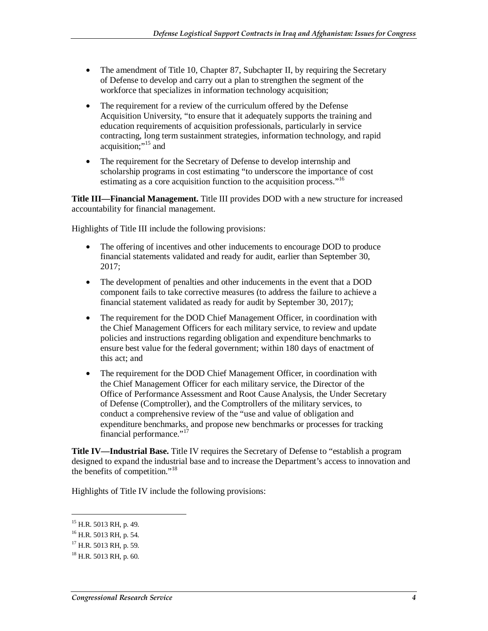- The amendment of Title 10, Chapter 87, Subchapter II, by requiring the Secretary of Defense to develop and carry out a plan to strengthen the segment of the workforce that specializes in information technology acquisition;
- The requirement for a review of the curriculum offered by the Defense Acquisition University, "to ensure that it adequately supports the training and education requirements of acquisition professionals, particularly in service contracting, long term sustainment strategies, information technology, and rapid acquisition;"<sup>15</sup> and
- The requirement for the Secretary of Defense to develop internship and scholarship programs in cost estimating "to underscore the importance of cost estimating as a core acquisition function to the acquisition process."<sup>16</sup>

**Title III—Financial Management.** Title III provides DOD with a new structure for increased accountability for financial management.

Highlights of Title III include the following provisions:

- The offering of incentives and other inducements to encourage DOD to produce financial statements validated and ready for audit, earlier than September 30, 2017;
- The development of penalties and other inducements in the event that a DOD component fails to take corrective measures (to address the failure to achieve a financial statement validated as ready for audit by September 30, 2017);
- The requirement for the DOD Chief Management Officer, in coordination with the Chief Management Officers for each military service, to review and update policies and instructions regarding obligation and expenditure benchmarks to ensure best value for the federal government; within 180 days of enactment of this act; and
- The requirement for the DOD Chief Management Officer, in coordination with the Chief Management Officer for each military service, the Director of the Office of Performance Assessment and Root Cause Analysis, the Under Secretary of Defense (Comptroller), and the Comptrollers of the military services, to conduct a comprehensive review of the "use and value of obligation and expenditure benchmarks, and propose new benchmarks or processes for tracking financial performance."<sup>1</sup>

**Title IV—Industrial Base.** Title IV requires the Secretary of Defense to "establish a program designed to expand the industrial base and to increase the Department's access to innovation and the benefits of competition."<sup>18</sup>

Highlights of Title IV include the following provisions:

<sup>&</sup>lt;sup>15</sup> H.R. 5013 RH, p. 49.

<sup>&</sup>lt;sup>16</sup> H.R. 5013 RH, p. 54.

<sup>&</sup>lt;sup>17</sup> H.R. 5013 RH, p. 59.

 $18$  H.R. 5013 RH, p. 60.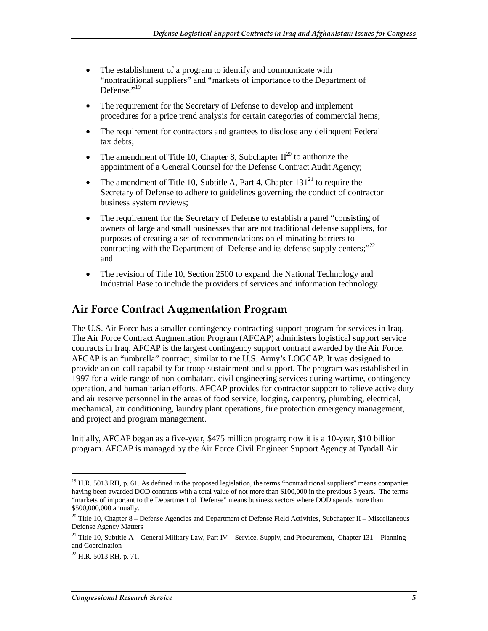- The establishment of a program to identify and communicate with "nontraditional suppliers" and "markets of importance to the Department of Defense." $^{19}$
- The requirement for the Secretary of Defense to develop and implement procedures for a price trend analysis for certain categories of commercial items;
- The requirement for contractors and grantees to disclose any delinquent Federal tax debts;
- The amendment of Title 10, Chapter 8, Subchapter  $II^{20}$  to authorize the appointment of a General Counsel for the Defense Contract Audit Agency;
- The amendment of Title 10, Subtitle A, Part 4, Chapter  $131<sup>21</sup>$  to require the Secretary of Defense to adhere to guidelines governing the conduct of contractor business system reviews;
- The requirement for the Secretary of Defense to establish a panel "consisting of owners of large and small businesses that are not traditional defense suppliers, for purposes of creating a set of recommendations on eliminating barriers to contracting with the Department of Defense and its defense supply centers;"<sup>22</sup> and
- The revision of Title 10, Section 2500 to expand the National Technology and Industrial Base to include the providers of services and information technology.

### **Air Force Contract Augmentation Program**

The U.S. Air Force has a smaller contingency contracting support program for services in Iraq. The Air Force Contract Augmentation Program (AFCAP) administers logistical support service contracts in Iraq. AFCAP is the largest contingency support contract awarded by the Air Force. AFCAP is an "umbrella" contract, similar to the U.S. Army's LOGCAP. It was designed to provide an on-call capability for troop sustainment and support. The program was established in 1997 for a wide-range of non-combatant, civil engineering services during wartime, contingency operation, and humanitarian efforts. AFCAP provides for contractor support to relieve active duty and air reserve personnel in the areas of food service, lodging, carpentry, plumbing, electrical, mechanical, air conditioning, laundry plant operations, fire protection emergency management, and project and program management.

Initially, AFCAP began as a five-year, \$475 million program; now it is a 10-year, \$10 billion program. AFCAP is managed by the Air Force Civil Engineer Support Agency at Tyndall Air

<sup>&</sup>lt;sup>19</sup> H.R. 5013 RH, p. 61. As defined in the proposed legislation, the terms "nontraditional suppliers" means companies having been awarded DOD contracts with a total value of not more than \$100,000 in the previous 5 years. The terms "markets of important to the Department of Defense" means business sectors where DOD spends more than \$500,000,000 annually.

<sup>&</sup>lt;sup>20</sup> Title 10, Chapter 8 – Defense Agencies and Department of Defense Field Activities, Subchapter II – Miscellaneous Defense Agency Matters

<sup>&</sup>lt;sup>21</sup> Title 10, Subtitle A – General Military Law, Part IV – Service, Supply, and Procurement, Chapter 131 – Planning and Coordination

 $^{22}$  H.R. 5013 RH, p. 71.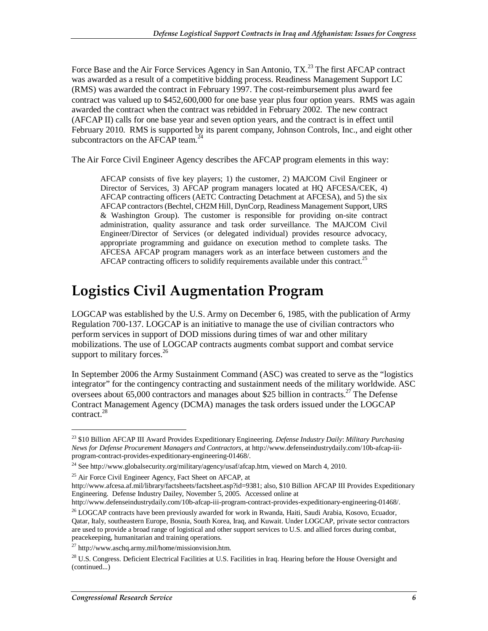Force Base and the Air Force Services Agency in San Antonio,  $TX<sup>23</sup>$  The first AFCAP contract was awarded as a result of a competitive bidding process. Readiness Management Support LC (RMS) was awarded the contract in February 1997. The cost-reimbursement plus award fee contract was valued up to \$452,600,000 for one base year plus four option years. RMS was again awarded the contract when the contract was rebidded in February 2002. The new contract (AFCAP II) calls for one base year and seven option years, and the contract is in effect until February 2010. RMS is supported by its parent company, Johnson Controls, Inc., and eight other subcontractors on the AFCAP team.<sup>2</sup>

The Air Force Civil Engineer Agency describes the AFCAP program elements in this way:

AFCAP consists of five key players; 1) the customer, 2) MAJCOM Civil Engineer or Director of Services, 3) AFCAP program managers located at HQ AFCESA/CEK, 4) AFCAP contracting officers (AETC Contracting Detachment at AFCESA), and 5) the six AFCAP contractors (Bechtel, CH2M Hill, DynCorp, Readiness Management Support, URS & Washington Group). The customer is responsible for providing on-site contract administration, quality assurance and task order surveillance. The MAJCOM Civil Engineer/Director of Services (or delegated individual) provides resource advocacy, appropriate programming and guidance on execution method to complete tasks. The AFCESA AFCAP program managers work as an interface between customers and the AFCAP contracting officers to solidify requirements available under this contract.<sup>25</sup>

## **Logistics Civil Augmentation Program**

LOGCAP was established by the U.S. Army on December 6, 1985, with the publication of Army Regulation 700-137. LOGCAP is an initiative to manage the use of civilian contractors who perform services in support of DOD missions during times of war and other military mobilizations. The use of LOGCAP contracts augments combat support and combat service support to military forces. $^{26}$ 

In September 2006 the Army Sustainment Command (ASC) was created to serve as the "logistics integrator" for the contingency contracting and sustainment needs of the military worldwide. ASC oversees about 65,000 contractors and manages about \$25 billion in contracts.<sup>27</sup> The Defense Contract Management Agency (DCMA) manages the task orders issued under the LOGCAP contract. $^{28}$ 

<sup>23 \$10</sup> Billion AFCAP III Award Provides Expeditionary Engineering. *Defense Industry Daily*: *Military Purchasing News for Defense Procurement Managers and Contractors*, at http://www.defenseindustrydaily.com/10b-afcap-iiiprogram-contract-provides-expeditionary-engineering-01468/.

<sup>&</sup>lt;sup>24</sup> See http://www.globalsecurity.org/military/agency/usaf/afcap.htm, viewed on March 4, 2010.

<sup>&</sup>lt;sup>25</sup> Air Force Civil Engineer Agency, Fact Sheet on AFCAP, at

http://www.afcesa.af.mil/library/factsheets/factsheet.asp?id=9381; also, \$10 Billion AFCAP III Provides Expeditionary Engineering. Defense Industry Dailey, November 5, 2005. Accessed online at

http://www.defenseindustrydaily.com/10b-afcap-iii-program-contract-provides-expeditionary-engineering-01468/.

<sup>&</sup>lt;sup>26</sup> LOGCAP contracts have been previously awarded for work in Rwanda, Haiti, Saudi Arabia, Kosovo, Ecuador, Qatar, Italy, southeastern Europe, Bosnia, South Korea, Iraq, and Kuwait. Under LOGCAP, private sector contractors are used to provide a broad range of logistical and other support services to U.S. and allied forces during combat, peacekeeping, humanitarian and training operations.

 $^{27}$  http://www.aschq.army.mil/home/missionvision.htm.

<sup>&</sup>lt;sup>28</sup> U.S. Congress. Deficient Electrical Facilities at U.S. Facilities in Iraq. Hearing before the House Oversight and (continued...)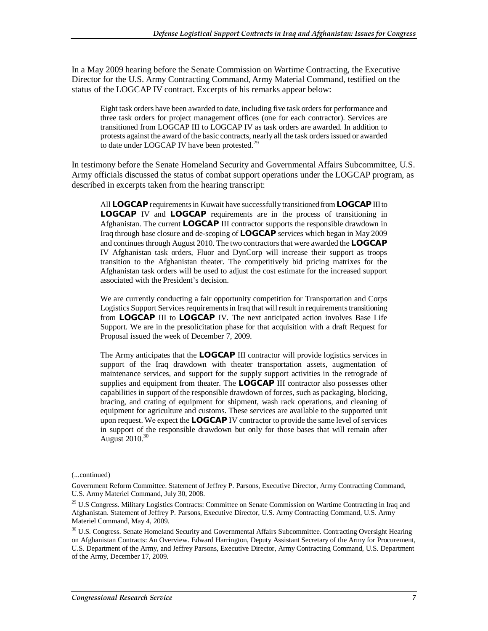In a May 2009 hearing before the Senate Commission on Wartime Contracting, the Executive Director for the U.S. Army Contracting Command, Army Material Command, testified on the status of the LOGCAP IV contract. Excerpts of his remarks appear below:

Eight task orders have been awarded to date, including five task orders for performance and three task orders for project management offices (one for each contractor). Services are transitioned from LOGCAP III to LOGCAP IV as task orders are awarded. In addition to protests against the award of the basic contracts, nearly all the task orders issued or awarded to date under LOGCAP IV have been protested.<sup>29</sup>

In testimony before the Senate Homeland Security and Governmental Affairs Subcommittee, U.S. Army officials discussed the status of combat support operations under the LOGCAP program, as described in excerpts taken from the hearing transcript:

All **LOGCAP** requirements in Kuwait have successfully transitioned from **LOGCAP** III to **LOGCAP** IV and **LOGCAP** requirements are in the process of transitioning in Afghanistan. The current **LOGCAP** III contractor supports the responsible drawdown in Iraq through base closure and de-scoping of **LOGCAP** services which began in May 2009 and continues through August 2010. The two contractors that were awarded the **LOGCAP** IV Afghanistan task orders, Fluor and DynCorp will increase their support as troops transition to the Afghanistan theater. The competitively bid pricing matrixes for the Afghanistan task orders will be used to adjust the cost estimate for the increased support associated with the President's decision.

We are currently conducting a fair opportunity competition for Transportation and Corps Logistics Support Services requirements in Iraq that will result in requirements transitioning from **LOGCAP** III to **LOGCAP** IV. The next anticipated action involves Base Life Support. We are in the presolicitation phase for that acquisition with a draft Request for Proposal issued the week of December 7, 2009.

The Army anticipates that the **LOGCAP** III contractor will provide logistics services in support of the Iraq drawdown with theater transportation assets, augmentation of maintenance services, and support for the supply support activities in the retrograde of supplies and equipment from theater. The **LOGCAP** III contractor also possesses other capabilities in support of the responsible drawdown of forces, such as packaging, blocking, bracing, and crating of equipment for shipment, wash rack operations, and cleaning of equipment for agriculture and customs. These services are available to the supported unit upon request. We expect the **LOGCAP** IV contractor to provide the same level of services in support of the responsible drawdown but only for those bases that will remain after August  $2010^{30}$ 

<sup>(...</sup>continued)

Government Reform Committee. Statement of Jeffrey P. Parsons, Executive Director, Army Contracting Command, U.S. Army Materiel Command, July 30, 2008.

<sup>&</sup>lt;sup>29</sup> U.S Congress. Military Logistics Contracts: Committee on Senate Commission on Wartime Contracting in Iraq and Afghanistan. Statement of Jeffrey P. Parsons, Executive Director, U.S. Army Contracting Command, U.S. Army Materiel Command, May 4, 2009.

<sup>&</sup>lt;sup>30</sup> U.S. Congress. Senate Homeland Security and Governmental Affairs Subcommittee. Contracting Oversight Hearing on Afghanistan Contracts: An Overview. Edward Harrington, Deputy Assistant Secretary of the Army for Procurement, U.S. Department of the Army, and Jeffrey Parsons, Executive Director, Army Contracting Command, U.S. Department of the Army, December 17, 2009.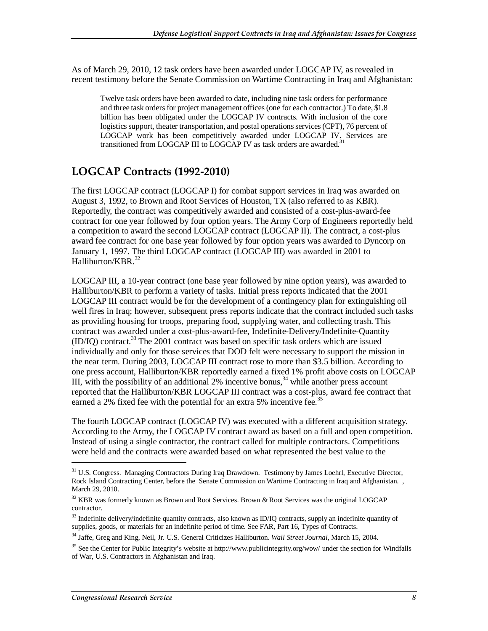As of March 29, 2010, 12 task orders have been awarded under LOGCAP IV, as revealed in recent testimony before the Senate Commission on Wartime Contracting in Iraq and Afghanistan:

Twelve task orders have been awarded to date, including nine task orders for performance and three task orders for project management offices (one for each contractor.) To date, \$1.8 billion has been obligated under the LOGCAP IV contracts. With inclusion of the core logistics support, theater transportation, and postal operations services (CPT), 76 percent of LOGCAP work has been competitively awarded under LOGCAP IV. Services are transitioned from LOGCAP III to LOGCAP IV as task orders are awarded.<sup>31</sup>

## **LOGCAP Contracts (1992-2010)**

The first LOGCAP contract (LOGCAP I) for combat support services in Iraq was awarded on August 3, 1992, to Brown and Root Services of Houston, TX (also referred to as KBR). Reportedly, the contract was competitively awarded and consisted of a cost-plus-award-fee contract for one year followed by four option years. The Army Corp of Engineers reportedly held a competition to award the second LOGCAP contract (LOGCAP II). The contract, a cost-plus award fee contract for one base year followed by four option years was awarded to Dyncorp on January 1, 1997. The third LOGCAP contract (LOGCAP III) was awarded in 2001 to Halliburton/KBR 32

LOGCAP III, a 10-year contract (one base year followed by nine option years), was awarded to Halliburton/KBR to perform a variety of tasks. Initial press reports indicated that the 2001 LOGCAP III contract would be for the development of a contingency plan for extinguishing oil well fires in Iraq; however, subsequent press reports indicate that the contract included such tasks as providing housing for troops, preparing food, supplying water, and collecting trash. This contract was awarded under a cost-plus-award-fee, Indefinite-Delivery/Indefinite-Quantity (ID/IQ) contract.33 The 2001 contract was based on specific task orders which are issued individually and only for those services that DOD felt were necessary to support the mission in the near term. During 2003, LOGCAP III contract rose to more than \$3.5 billion. According to one press account, Halliburton/KBR reportedly earned a fixed 1% profit above costs on LOGCAP III, with the possibility of an additional 2% incentive bonus,  $34$  while another press account reported that the Halliburton/KBR LOGCAP III contract was a cost-plus, award fee contract that earned a 2% fixed fee with the potential for an extra 5% incentive fee.<sup>35</sup>

The fourth LOGCAP contract (LOGCAP IV) was executed with a different acquisition strategy. According to the Army, the LOGCAP IV contract award as based on a full and open competition. Instead of using a single contractor, the contract called for multiple contractors. Competitions were held and the contracts were awarded based on what represented the best value to the

<sup>&</sup>lt;sup>31</sup> U.S. Congress. Managing Contractors During Iraq Drawdown. Testimony by James Loehrl, Executive Director, Rock Island Contracting Center, before the Senate Commission on Wartime Contracting in Iraq and Afghanistan. , March 29, 2010.

<sup>&</sup>lt;sup>32</sup> KBR was formerly known as Brown and Root Services. Brown & Root Services was the original LOGCAP contractor.

<sup>&</sup>lt;sup>33</sup> Indefinite delivery/indefinite quantity contracts, also known as ID/IQ contracts, supply an indefinite quantity of supplies, goods, or materials for an indefinite period of time. See FAR, Part 16, Types of Contracts.

<sup>34</sup> Jaffe, Greg and King, Neil, Jr. U.S. General Criticizes Halliburton. *Wall Street Journal*, March 15, 2004.

<sup>&</sup>lt;sup>35</sup> See the Center for Public Integrity's website at http://www.publicintegrity.org/wow/ under the section for Windfalls of War, U.S. Contractors in Afghanistan and Iraq.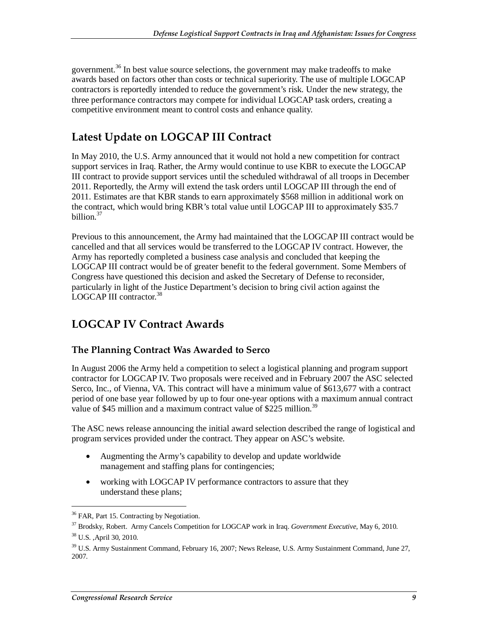government.<sup>36</sup> In best value source selections, the government may make tradeoffs to make awards based on factors other than costs or technical superiority. The use of multiple LOGCAP contractors is reportedly intended to reduce the government's risk. Under the new strategy, the three performance contractors may compete for individual LOGCAP task orders, creating a competitive environment meant to control costs and enhance quality.

## **Latest Update on LOGCAP III Contract**

In May 2010, the U.S. Army announced that it would not hold a new competition for contract support services in Iraq. Rather, the Army would continue to use KBR to execute the LOGCAP III contract to provide support services until the scheduled withdrawal of all troops in December 2011. Reportedly, the Army will extend the task orders until LOGCAP III through the end of 2011. Estimates are that KBR stands to earn approximately \$568 million in additional work on the contract, which would bring KBR's total value until LOGCAP III to approximately \$35.7 billion.<sup>37</sup>

Previous to this announcement, the Army had maintained that the LOGCAP III contract would be cancelled and that all services would be transferred to the LOGCAP IV contract. However, the Army has reportedly completed a business case analysis and concluded that keeping the LOGCAP III contract would be of greater benefit to the federal government. Some Members of Congress have questioned this decision and asked the Secretary of Defense to reconsider, particularly in light of the Justice Department's decision to bring civil action against the LOGCAP III contractor.<sup>38</sup>

### **LOGCAP IV Contract Awards**

#### **The Planning Contract Was Awarded to Serco**

In August 2006 the Army held a competition to select a logistical planning and program support contractor for LOGCAP IV. Two proposals were received and in February 2007 the ASC selected Serco, Inc., of Vienna, VA. This contract will have a minimum value of \$613,677 with a contract period of one base year followed by up to four one-year options with a maximum annual contract value of \$45 million and a maximum contract value of \$225 million.<sup>39</sup>

The ASC news release announcing the initial award selection described the range of logistical and program services provided under the contract. They appear on ASC's website.

- Augmenting the Army's capability to develop and update worldwide management and staffing plans for contingencies;
- working with LOGCAP IV performance contractors to assure that they understand these plans;

<sup>&</sup>lt;sup>36</sup> FAR, Part 15. Contracting by Negotiation.

<sup>37</sup> Brodsky, Robert. Army Cancels Competition for LOGCAP work in Iraq. *Government Executive*, May 6, 2010.

<sup>38</sup> U.S. ,April 30, 2010.

<sup>&</sup>lt;sup>39</sup> U.S. Army Sustainment Command, February 16, 2007; News Release, U.S. Army Sustainment Command, June 27, 2007.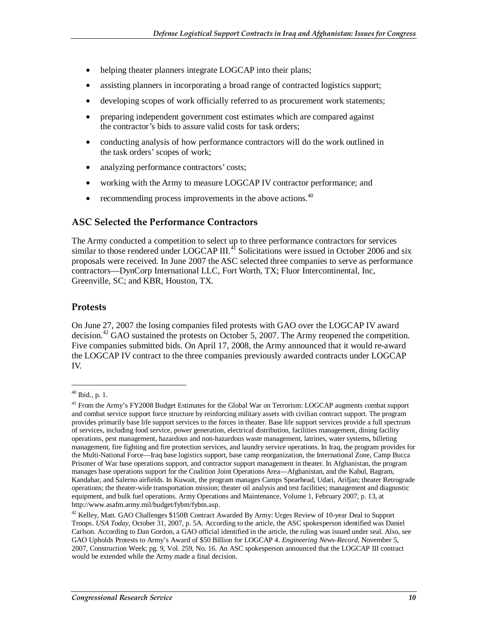- helping theater planners integrate LOGCAP into their plans;
- assisting planners in incorporating a broad range of contracted logistics support;
- developing scopes of work officially referred to as procurement work statements;
- preparing independent government cost estimates which are compared against the contractor's bids to assure valid costs for task orders;
- conducting analysis of how performance contractors will do the work outlined in the task orders' scopes of work;
- analyzing performance contractors' costs;
- working with the Army to measure LOGCAP IV contractor performance; and
- recommending process improvements in the above actions. $40$

#### **ASC Selected the Performance Contractors**

The Army conducted a competition to select up to three performance contractors for services similar to those rendered under LOGCAP III.<sup>41</sup> Solicitations were issued in October 2006 and six proposals were received. In June 2007 the ASC selected three companies to serve as performance contractors—DynCorp International LLC, Fort Worth, TX; Fluor Intercontinental, Inc, Greenville, SC; and KBR, Houston, TX.

#### **Protests**

On June 27, 2007 the losing companies filed protests with GAO over the LOGCAP IV award decision.<sup>42</sup> GAO sustained the protests on October 5, 2007. The Army reopened the competition. Five companies submitted bids. On April 17, 2008, the Army announced that it would re-award the LOGCAP IV contract to the three companies previously awarded contracts under LOGCAP IV.

<sup>40</sup> Ibid., p. 1.

<sup>&</sup>lt;sup>41</sup> From the Army's FY2008 Budget Estimates for the Global War on Terrorism: LOGCAP augments combat support and combat service support force structure by reinforcing military assets with civilian contract support. The program provides primarily base life support services to the forces in theater. Base life support services provide a full spectrum of services, including food service, power generation, electrical distribution, facilities management, dining facility operations, pest management, hazardous and non-hazardous waste management, latrines, water systems, billeting management, fire fighting and fire protection services, and laundry service operations. In Iraq, the program provides for the Multi-National Force—Iraq base logistics support, base camp reorganization, the International Zone, Camp Bucca Prisoner of War base operations support, and contractor support management in theater. In Afghanistan, the program manages base operations support for the Coalition Joint Operations Area—Afghanistan, and the Kabul, Bagram, Kandahar, and Salerno airfields. In Kuwait, the program manages Camps Spearhead, Udari, Arifjan; theater Retrograde operations; the theater-wide transportation mission; theater oil analysis and test facilities; management and diagnostic equipment, and bulk fuel operations. Army Operations and Maintenance, Volume 1, February 2007, p. 13, at http://www.asafm.army.mil/budget/fybm/fybm.asp.

<sup>42</sup> Kelley, Matt. GAO Challenges \$150B Contract Awarded By Army: Urges Review of 10-year Deal to Support Troops. *USA Today*, October 31, 2007, p. 5A. According to the article, the ASC spokesperson identified was Daniel Carlson. According to Dan Gordon, a GAO official identified in the article, the ruling was issued under seal. Also, see GAO Upholds Protests to Army's Award of \$50 Billion for LOGCAP 4. *Engineering News-Record*, November 5, 2007, Construction Week; pg. 9, Vol. 259, No. 16. An ASC spokesperson announced that the LOGCAP III contract would be extended while the Army made a final decision.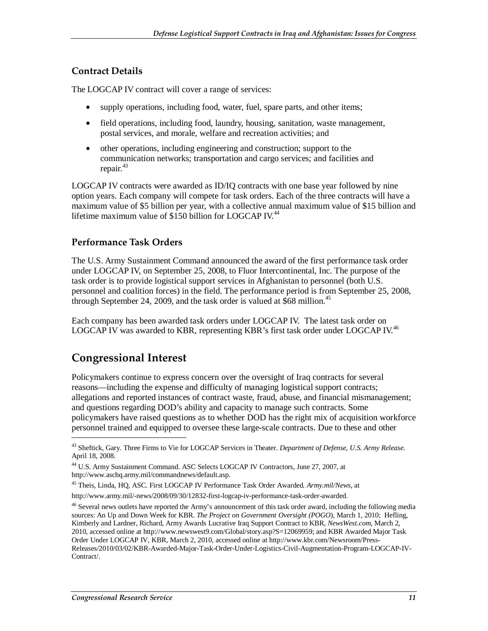#### **Contract Details**

The LOGCAP IV contract will cover a range of services:

- supply operations, including food, water, fuel, spare parts, and other items;
- field operations, including food, laundry, housing, sanitation, waste management, postal services, and morale, welfare and recreation activities; and
- other operations, including engineering and construction; support to the communication networks; transportation and cargo services; and facilities and repair.<sup>43</sup>

LOGCAP IV contracts were awarded as ID/IQ contracts with one base year followed by nine option years. Each company will compete for task orders. Each of the three contracts will have a maximum value of \$5 billion per year, with a collective annual maximum value of \$15 billion and lifetime maximum value of \$150 billion for LOGCAP IV.<sup>44</sup>

#### **Performance Task Orders**

The U.S. Army Sustainment Command announced the award of the first performance task order under LOGCAP IV, on September 25, 2008, to Fluor Intercontinental, Inc. The purpose of the task order is to provide logistical support services in Afghanistan to personnel (both U.S. personnel and coalition forces) in the field. The performance period is from September 25, 2008, through September 24, 2009, and the task order is valued at  $$68$  million.<sup>45</sup>

Each company has been awarded task orders under LOGCAP IV. The latest task order on LOGCAP IV was awarded to KBR, representing KBR's first task order under LOGCAP IV.<sup>46</sup>

## **Congressional Interest**

<u>.</u>

Policymakers continue to express concern over the oversight of Iraq contracts for several reasons—including the expense and difficulty of managing logistical support contracts; allegations and reported instances of contract waste, fraud, abuse, and financial mismanagement; and questions regarding DOD's ability and capacity to manage such contracts. Some policymakers have raised questions as to whether DOD has the right mix of acquisition workforce personnel trained and equipped to oversee these large-scale contracts. Due to these and other

<sup>43</sup> Sheftick, Gary. Three Firms to Vie for LOGCAP Services in Theater. *Department of Defense, U.S. Army Release*. April 18, 2008.

<sup>44</sup> U.S. Army Sustainment Command. ASC Selects LOGCAP IV Contractors, June 27, 2007, at http://www.aschq.army.mil/commandnews/default.asp.

<sup>45</sup> Theis, Linda, HQ, ASC. First LOGCAP IV Performance Task Order Awarded*. Army.mil/News*, at http://www.army.mil/-news/2008/09/30/12832-first-logcap-iv-performance-task-order-awarded.

<sup>&</sup>lt;sup>46</sup> Several news outlets have reported the Army's announcement of this task order award, including the following media sources: An Up and Down Week for KBR. *The Project on Government Oversight (POGO*), March 1, 2010; Hefling, Kimberly and Lardner, Richard, Army Awards Lucrative Iraq Support Contract to KBR, *NewsWest.com*, March 2, 2010, accessed online at http://www.newswest9.com/Global/story.asp?S=12069959; and KBR Awarded Major Task Order Under LOGCAP IV, KBR, March 2, 2010, accessed online at http://www.kbr.com/Newsroom/Press-Releases/2010/03/02/KBR-Awarded-Major-Task-Order-Under-Logistics-Civil-Augmentation-Program-LOGCAP-IV-Contract/.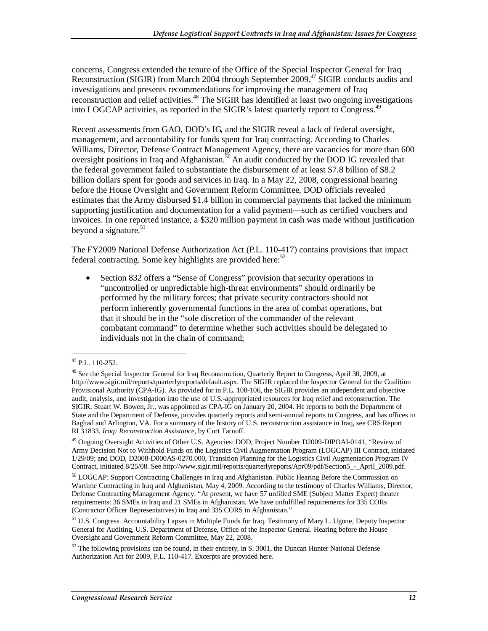concerns, Congress extended the tenure of the Office of the Special Inspector General for Iraq Reconstruction (SIGIR) from March 2004 through September 2009.<sup>47</sup> SIGIR conducts audits and investigations and presents recommendations for improving the management of Iraq reconstruction and relief activities.<sup>48</sup> The SIGIR has identified at least two ongoing investigations into LOGCAP activities, as reported in the SIGIR's latest quarterly report to Congress.<sup>49</sup>

Recent assessments from GAO, DOD's IG, and the SIGIR reveal a lack of federal oversight, management, and accountability for funds spent for Iraq contracting. According to Charles Williams, Director, Defense Contract Management Agency, there are vacancies for more than 600 oversight positions in Iraq and Afghanistan.<sup>50</sup> An audit conducted by the DOD IG revealed that the federal government failed to substantiate the disbursement of at least \$7.8 billion of \$8.2 billion dollars spent for goods and services in Iraq. In a May 22, 2008, congressional hearing before the House Oversight and Government Reform Committee, DOD officials revealed estimates that the Army disbursed \$1.4 billion in commercial payments that lacked the minimum supporting justification and documentation for a valid payment—such as certified vouchers and invoices. In one reported instance, a \$320 million payment in cash was made without justification beyond a signature.<sup>51</sup>

The FY2009 National Defense Authorization Act (P.L. 110-417) contains provisions that impact federal contracting. Some key highlights are provided here: $52$ 

• Section 832 offers a "Sense of Congress" provision that security operations in "uncontrolled or unpredictable high-threat environments" should ordinarily be performed by the military forces; that private security contractors should not perform inherently governmental functions in the area of combat operations, but that it should be in the "sole discretion of the commander of the relevant combatant command" to determine whether such activities should be delegated to individuals not in the chain of command;

<sup>47</sup> P.L. 110-252.

<sup>&</sup>lt;sup>48</sup> See the Special Inspector General for Iraq Reconstruction, Quarterly Report to Congress, April 30, 2009, at http://www.sigir.mil/reports/quarterlyreports/default.aspx. The SIGIR replaced the Inspector General for the Coalition Provisional Authority (CPA-IG). As provided for in P.L. 108-106, the SIGIR provides an independent and objective audit, analysis, and investigation into the use of U.S.-appropriated resources for Iraq relief and reconstruction. The SIGIR, Stuart W. Bowen, Jr., was appointed as CPA-IG on January 20, 2004. He reports to both the Department of State and the Department of Defense, provides quarterly reports and semi-annual reports to Congress, and has offices in Baghad and Arlington, VA. For a summary of the history of U.S. reconstruction assistance in Iraq, see CRS Report RL31833, *Iraq: Reconstruction Assistance*, by Curt Tarnoff.

<sup>&</sup>lt;sup>49</sup> Ongoing Oversight Activities of Other U.S. Agencies: DOD, Project Number D2009-DIPOAI-0141, "Review of Army Decision Not to Withhold Funds on the Logistics Civil Augmentation Program (LOGCAP) III Contract, initiated 1/29/09; and DOD, D2008-D000AS-0270.000, Transition Planning for the Logistics Civil Augmentation Program IV Contract, initiated 8/25/08. See http://www.sigir.mil/reports/quarterlyreports/Apr09/pdf/Section5\_-\_April\_2009.pdf.

<sup>&</sup>lt;sup>50</sup> LOGCAP: Support Contracting Challenges in Iraq and Afghanistan. Public Hearing Before the Commission on Wartime Contracting in Iraq and Afghanistan, May 4, 2009. According to the testimony of Charles Williams, Director, Defense Contracting Management Agency: "At present, we have 57 unfilled SME (Subject Matter Expert) theater requirements: 36 SMEs in Iraq and 21 SMEs in Afghanistan. We have unfulfilled requirements for 335 CORs (Contractor Officer Representatives) in Iraq and 335 CORS in Afghanistan."

<sup>&</sup>lt;sup>51</sup> U.S. Congress. Accountability Lapses in Multiple Funds for Iraq. Testimony of Mary L. Ugone, Deputy Inspector General for Auditing, U.S. Department of Defense, Office of the Inspector General. Hearing before the House Oversight and Government Reform Committee, May 22, 2008.

 $52$  The following provisions can be found, in their entirety, in S. 3001, the Duncan Hunter National Defense Authorization Act for 2009, P.L. 110-417. Excerpts are provided here.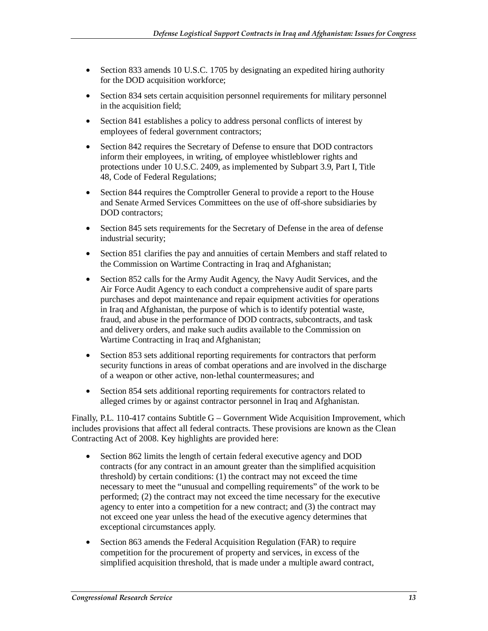- Section 833 amends 10 U.S.C. 1705 by designating an expedited hiring authority for the DOD acquisition workforce;
- Section 834 sets certain acquisition personnel requirements for military personnel in the acquisition field;
- Section 841 establishes a policy to address personal conflicts of interest by employees of federal government contractors;
- Section 842 requires the Secretary of Defense to ensure that DOD contractors inform their employees, in writing, of employee whistleblower rights and protections under 10 U.S.C. 2409, as implemented by Subpart 3.9, Part I, Title 48, Code of Federal Regulations;
- Section 844 requires the Comptroller General to provide a report to the House and Senate Armed Services Committees on the use of off-shore subsidiaries by DOD contractors;
- Section 845 sets requirements for the Secretary of Defense in the area of defense industrial security;
- Section 851 clarifies the pay and annuities of certain Members and staff related to the Commission on Wartime Contracting in Iraq and Afghanistan;
- Section 852 calls for the Army Audit Agency, the Navy Audit Services, and the Air Force Audit Agency to each conduct a comprehensive audit of spare parts purchases and depot maintenance and repair equipment activities for operations in Iraq and Afghanistan, the purpose of which is to identify potential waste, fraud, and abuse in the performance of DOD contracts, subcontracts, and task and delivery orders, and make such audits available to the Commission on Wartime Contracting in Iraq and Afghanistan;
- Section 853 sets additional reporting requirements for contractors that perform security functions in areas of combat operations and are involved in the discharge of a weapon or other active, non-lethal countermeasures; and
- Section 854 sets additional reporting requirements for contractors related to alleged crimes by or against contractor personnel in Iraq and Afghanistan.

Finally, P.L. 110-417 contains Subtitle G – Government Wide Acquisition Improvement, which includes provisions that affect all federal contracts. These provisions are known as the Clean Contracting Act of 2008. Key highlights are provided here:

- Section 862 limits the length of certain federal executive agency and DOD contracts (for any contract in an amount greater than the simplified acquisition threshold) by certain conditions: (1) the contract may not exceed the time necessary to meet the "unusual and compelling requirements" of the work to be performed; (2) the contract may not exceed the time necessary for the executive agency to enter into a competition for a new contract; and (3) the contract may not exceed one year unless the head of the executive agency determines that exceptional circumstances apply.
- Section 863 amends the Federal Acquisition Regulation (FAR) to require competition for the procurement of property and services, in excess of the simplified acquisition threshold, that is made under a multiple award contract,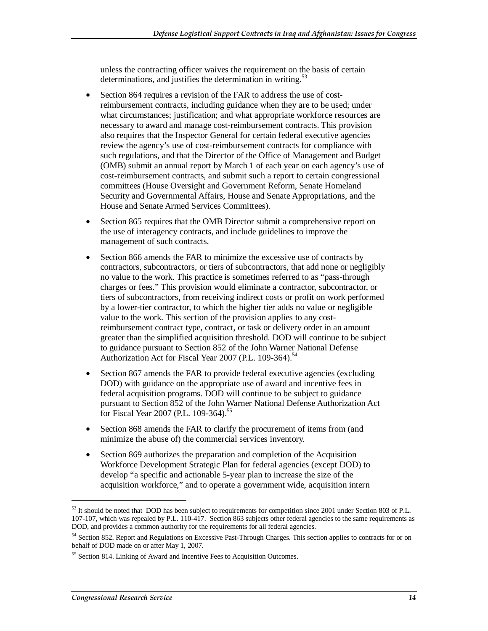unless the contracting officer waives the requirement on the basis of certain determinations, and justifies the determination in writing.<sup>53</sup>

- Section 864 requires a revision of the FAR to address the use of costreimbursement contracts, including guidance when they are to be used; under what circumstances; justification; and what appropriate workforce resources are necessary to award and manage cost-reimbursement contracts. This provision also requires that the Inspector General for certain federal executive agencies review the agency's use of cost-reimbursement contracts for compliance with such regulations, and that the Director of the Office of Management and Budget (OMB) submit an annual report by March 1 of each year on each agency's use of cost-reimbursement contracts, and submit such a report to certain congressional committees (House Oversight and Government Reform, Senate Homeland Security and Governmental Affairs, House and Senate Appropriations, and the House and Senate Armed Services Committees).
- Section 865 requires that the OMB Director submit a comprehensive report on the use of interagency contracts, and include guidelines to improve the management of such contracts.
- Section 866 amends the FAR to minimize the excessive use of contracts by contractors, subcontractors, or tiers of subcontractors, that add none or negligibly no value to the work. This practice is sometimes referred to as "pass-through charges or fees." This provision would eliminate a contractor, subcontractor, or tiers of subcontractors, from receiving indirect costs or profit on work performed by a lower-tier contractor, to which the higher tier adds no value or negligible value to the work. This section of the provision applies to any costreimbursement contract type, contract, or task or delivery order in an amount greater than the simplified acquisition threshold. DOD will continue to be subject to guidance pursuant to Section 852 of the John Warner National Defense Authorization Act for Fiscal Year 2007 (P.L. 109-364).<sup>54</sup>
- Section 867 amends the FAR to provide federal executive agencies (excluding DOD) with guidance on the appropriate use of award and incentive fees in federal acquisition programs. DOD will continue to be subject to guidance pursuant to Section 852 of the John Warner National Defense Authorization Act for Fiscal Year 2007 (P.L. 109-364).<sup>55</sup>
- Section 868 amends the FAR to clarify the procurement of items from (and minimize the abuse of) the commercial services inventory.
- Section 869 authorizes the preparation and completion of the Acquisition Workforce Development Strategic Plan for federal agencies (except DOD) to develop "a specific and actionable 5-year plan to increase the size of the acquisition workforce," and to operate a government wide, acquisition intern

<sup>&</sup>lt;sup>53</sup> It should be noted that DOD has been subject to requirements for competition since 2001 under Section 803 of P.L. 107-107, which was repealed by P.L. 110-417. Section 863 subjects other federal agencies to the same requirements as DOD, and provides a common authority for the requirements for all federal agencies.

<sup>54</sup> Section 852. Report and Regulations on Excessive Past-Through Charges. This section applies to contracts for or on behalf of DOD made on or after May 1, 2007.

<sup>55</sup> Section 814. Linking of Award and Incentive Fees to Acquisition Outcomes.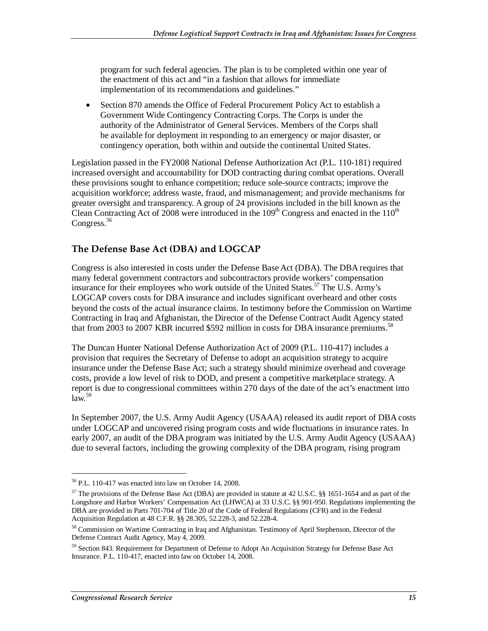program for such federal agencies. The plan is to be completed within one year of the enactment of this act and "in a fashion that allows for immediate implementation of its recommendations and guidelines."

• Section 870 amends the Office of Federal Procurement Policy Act to establish a Government Wide Contingency Contracting Corps. The Corps is under the authority of the Administrator of General Services. Members of the Corps shall be available for deployment in responding to an emergency or major disaster, or contingency operation, both within and outside the continental United States.

Legislation passed in the FY2008 National Defense Authorization Act (P.L. 110-181) required increased oversight and accountability for DOD contracting during combat operations. Overall these provisions sought to enhance competition; reduce sole-source contracts; improve the acquisition workforce; address waste, fraud, and mismanagement; and provide mechanisms for greater oversight and transparency. A group of 24 provisions included in the bill known as the Clean Contracting Act of 2008 were introduced in the  $109<sup>th</sup>$  Congress and enacted in the  $110<sup>th</sup>$ Congress.<sup>56</sup>

#### **The Defense Base Act (DBA) and LOGCAP**

Congress is also interested in costs under the Defense Base Act (DBA). The DBA requires that many federal government contractors and subcontractors provide workers' compensation insurance for their employees who work outside of the United States.<sup>57</sup> The U.S. Army's LOGCAP covers costs for DBA insurance and includes significant overheard and other costs beyond the costs of the actual insurance claims. In testimony before the Commission on Wartime Contracting in Iraq and Afghanistan, the Director of the Defense Contract Audit Agency stated that from 2003 to 2007 KBR incurred \$592 million in costs for DBA insurance premiums.<sup>58</sup>

The Duncan Hunter National Defense Authorization Act of 2009 (P.L. 110-417) includes a provision that requires the Secretary of Defense to adopt an acquisition strategy to acquire insurance under the Defense Base Act; such a strategy should minimize overhead and coverage costs, provide a low level of risk to DOD, and present a competitive marketplace strategy. A report is due to congressional committees within 270 days of the date of the act's enactment into  $\ln w^{59}$ 

In September 2007, the U.S. Army Audit Agency (USAAA) released its audit report of DBA costs under LOGCAP and uncovered rising program costs and wide fluctuations in insurance rates. In early 2007, an audit of the DBA program was initiated by the U.S. Army Audit Agency (USAAA) due to several factors, including the growing complexity of the DBA program, rising program

<sup>56</sup> P.L. 110-417 was enacted into law on October 14, 2008.

<sup>57</sup> The provisions of the Defense Base Act (DBA) are provided in statute at 42 U.S.C. §§ 1651-1654 and as part of the Longshore and Harbor Workers' Compensation Act (LHWCA) at 33 U.S.C. §§ 901-950. Regulations implementing the DBA are provided in Parts 701-704 of Title 20 of the Code of Federal Regulations (CFR) and in the Federal Acquisition Regulation at 48 C.F.R. §§ 28.305, 52.228-3, and 52.228-4.

<sup>58</sup> Commission on Wartime Contracting in Iraq and Afghanistan. Testimony of April Stephenson, Director of the Defense Contract Audit Agency, May 4, 2009.

<sup>59</sup> Section 843. Requirement for Department of Defense to Adopt An Acquisition Strategy for Defense Base Act Insurance. P.L. 110-417, enacted into law on October 14, 2008.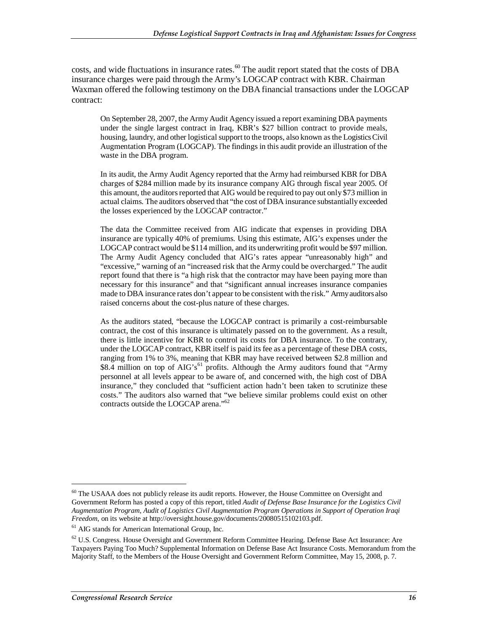costs, and wide fluctuations in insurance rates.<sup>60</sup> The audit report stated that the costs of DBA insurance charges were paid through the Army's LOGCAP contract with KBR. Chairman Waxman offered the following testimony on the DBA financial transactions under the LOGCAP contract:

On September 28, 2007, the Army Audit Agency issued a report examining DBA payments under the single largest contract in Iraq, KBR's \$27 billion contract to provide meals, housing, laundry, and other logistical support to the troops, also known as the Logistics Civil Augmentation Program (LOGCAP). The findings in this audit provide an illustration of the waste in the DBA program.

In its audit, the Army Audit Agency reported that the Army had reimbursed KBR for DBA charges of \$284 million made by its insurance company AIG through fiscal year 2005. Of this amount, the auditors reported that AIG would be required to pay out only \$73 million in actual claims. The auditors observed that "the cost of DBA insurance substantially exceeded the losses experienced by the LOGCAP contractor."

The data the Committee received from AIG indicate that expenses in providing DBA insurance are typically 40% of premiums. Using this estimate, AIG's expenses under the LOGCAP contract would be \$114 million, and its underwriting profit would be \$97 million. The Army Audit Agency concluded that AIG's rates appear "unreasonably high" and "excessive," warning of an "increased risk that the Army could be overcharged." The audit report found that there is "a high risk that the contractor may have been paying more than necessary for this insurance" and that "significant annual increases insurance companies made to DBA insurance rates don't appear to be consistent with the risk." Army auditors also raised concerns about the cost-plus nature of these charges.

As the auditors stated, "because the LOGCAP contract is primarily a cost-reimbursable contract, the cost of this insurance is ultimately passed on to the government. As a result, there is little incentive for KBR to control its costs for DBA insurance. To the contrary, under the LOGCAP contract, KBR itself is paid its fee as a percentage of these DBA costs, ranging from 1% to 3%, meaning that KBR may have received between \$2.8 million and \$8.4 million on top of AIG's<sup>61</sup> profits. Although the Army auditors found that "Army personnel at all levels appear to be aware of, and concerned with, the high cost of DBA insurance," they concluded that "sufficient action hadn't been taken to scrutinize these costs." The auditors also warned that "we believe similar problems could exist on other contracts outside the LOGCAP arena."62

<sup>60</sup> The USAAA does not publicly release its audit reports. However, the House Committee on Oversight and Government Reform has posted a copy of this report, titled *Audit of Defense Base Insurance for the Logistics Civil Augmentation Program, Audit of Logistics Civil Augmentation Program Operations in Support of Operation Iraqi Freedom*, on its website at http://oversight.house.gov/documents/20080515102103.pdf.

<sup>61</sup> AIG stands for American International Group, Inc.

 $62$  U.S. Congress. House Oversight and Government Reform Committee Hearing. Defense Base Act Insurance: Are Taxpayers Paying Too Much? Supplemental Information on Defense Base Act Insurance Costs. Memorandum from the Majority Staff, to the Members of the House Oversight and Government Reform Committee, May 15, 2008, p. 7.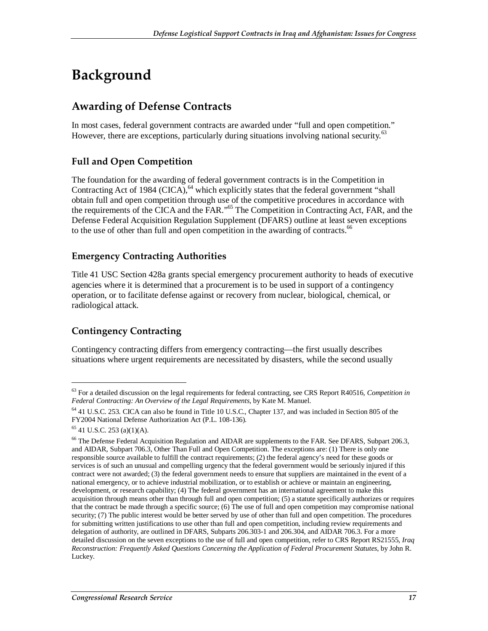# **Background**

## **Awarding of Defense Contracts**

In most cases, federal government contracts are awarded under "full and open competition." However, there are exceptions, particularly during situations involving national security.<sup>63</sup>

#### **Full and Open Competition**

The foundation for the awarding of federal government contracts is in the Competition in Contracting Act of 1984 (CICA),  $64$  which explicitly states that the federal government "shall obtain full and open competition through use of the competitive procedures in accordance with the requirements of the CICA and the FAR."<sup>65</sup> The Competition in Contracting Act, FAR, and the Defense Federal Acquisition Regulation Supplement (DFARS) outline at least seven exceptions to the use of other than full and open competition in the awarding of contracts.<sup>66</sup>

#### **Emergency Contracting Authorities**

Title 41 USC Section 428a grants special emergency procurement authority to heads of executive agencies where it is determined that a procurement is to be used in support of a contingency operation, or to facilitate defense against or recovery from nuclear, biological, chemical, or radiological attack.

### **Contingency Contracting**

Contingency contracting differs from emergency contracting—the first usually describes situations where urgent requirements are necessitated by disasters, while the second usually

<sup>63</sup> For a detailed discussion on the legal requirements for federal contracting, see CRS Report R40516, *Competition in Federal Contracting: An Overview of the Legal Requirements*, by Kate M. Manuel.

<sup>64 41</sup> U.S.C. 253. CICA can also be found in Title 10 U.S.C., Chapter 137, and was included in Section 805 of the FY2004 National Defense Authorization Act (P.L. 108-136).

 $65$  41 U.S.C. 253 (a)(1)(A).

<sup>&</sup>lt;sup>66</sup> The Defense Federal Acquisition Regulation and AIDAR are supplements to the FAR. See DFARS, Subpart 206.3, and AIDAR, Subpart 706.3, Other Than Full and Open Competition. The exceptions are: (1) There is only one responsible source available to fulfill the contract requirements; (2) the federal agency's need for these goods or services is of such an unusual and compelling urgency that the federal government would be seriously injured if this contract were not awarded; (3) the federal government needs to ensure that suppliers are maintained in the event of a national emergency, or to achieve industrial mobilization, or to establish or achieve or maintain an engineering, development, or research capability; (4) The federal government has an international agreement to make this acquisition through means other than through full and open competition; (5) a statute specifically authorizes or requires that the contract be made through a specific source; (6) The use of full and open competition may compromise national security; (7) The public interest would be better served by use of other than full and open competition. The procedures for submitting written justifications to use other than full and open competition, including review requirements and delegation of authority, are outlined in DFARS, Subparts 206.303-1 and 206.304, and AIDAR 706.3. For a more detailed discussion on the seven exceptions to the use of full and open competition, refer to CRS Report RS21555, *Iraq Reconstruction: Frequently Asked Questions Concerning the Application of Federal Procurement Statutes*, by John R. Luckey.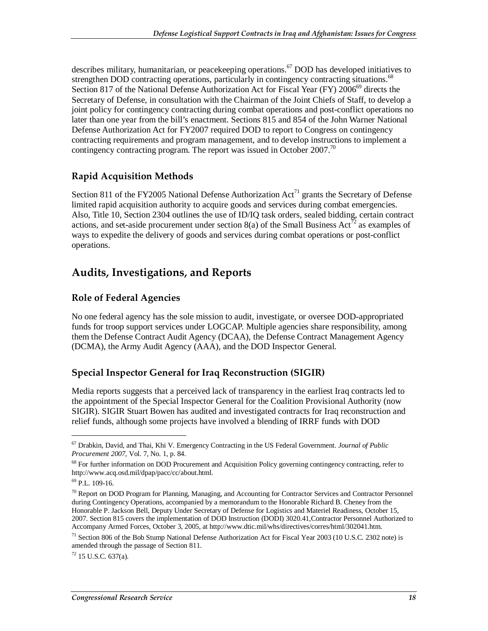describes military, humanitarian, or peace keeping operations.<sup>67</sup> DOD has developed initiatives to strengthen DOD contracting operations, particularly in contingency contracting situations.<sup>68</sup> Section 817 of the National Defense Authorization Act for Fiscal Year (FY) 2006<sup>69</sup> directs the Secretary of Defense, in consultation with the Chairman of the Joint Chiefs of Staff, to develop a joint policy for contingency contracting during combat operations and post-conflict operations no later than one year from the bill's enactment. Sections 815 and 854 of the John Warner National Defense Authorization Act for FY2007 required DOD to report to Congress on contingency contracting requirements and program management, and to develop instructions to implement a contingency contracting program. The report was issued in October 2007.<sup>70</sup>

#### **Rapid Acquisition Methods**

Section 811 of the FY2005 National Defense Authorization  $Act^{71}$  grants the Secretary of Defense limited rapid acquisition authority to acquire goods and services during combat emergencies. Also, Title 10, Section 2304 outlines the use of ID/IQ task orders, sealed bidding, certain contract actions, and set-aside procurement under section  $8(a)$  of the Small Business Act<sup>72</sup> as examples of ways to expedite the delivery of goods and services during combat operations or post-conflict operations.

### **Audits, Investigations, and Reports**

#### **Role of Federal Agencies**

No one federal agency has the sole mission to audit, investigate, or oversee DOD-appropriated funds for troop support services under LOGCAP. Multiple agencies share responsibility, among them the Defense Contract Audit Agency (DCAA), the Defense Contract Management Agency (DCMA), the Army Audit Agency (AAA), and the DOD Inspector General.

#### **Special Inspector General for Iraq Reconstruction (SIGIR)**

Media reports suggests that a perceived lack of transparency in the earliest Iraq contracts led to the appointment of the Special Inspector General for the Coalition Provisional Authority (now SIGIR). SIGIR Stuart Bowen has audited and investigated contracts for Iraq reconstruction and relief funds, although some projects have involved a blending of IRRF funds with DOD

1

 $72$  15 U.S.C. 637(a).

<sup>67</sup> Drabkin, David, and Thai, Khi V. Emergency Contracting in the US Federal Government. *Journal of Public Procurement 2007*, Vol. 7, No. 1, p. 84.

<sup>&</sup>lt;sup>68</sup> For further information on DOD Procurement and Acquisition Policy governing contingency contracting, refer to http://www.acq.osd.mil/dpap/pacc/cc/about.html.

<sup>69</sup> P.L. 109-16.

 $70$  Report on DOD Program for Planning, Managing, and Accounting for Contractor Services and Contractor Personnel during Contingency Operations, accompanied by a memorandum to the Honorable Richard B. Cheney from the Honorable P. Jackson Bell, Deputy Under Secretary of Defense for Logistics and Materiel Readiness, October 15, 2007. Section 815 covers the implementation of DOD Instruction (DODI) 3020.41,Contractor Personnel Authorized to Accompany Armed Forces, October 3, 2005, at http://www.dtic.mil/whs/directives/corres/html/302041.htm.

<sup>&</sup>lt;sup>71</sup> Section 806 of the Bob Stump National Defense Authorization Act for Fiscal Year 2003 (10 U.S.C. 2302 note) is amended through the passage of Section 811.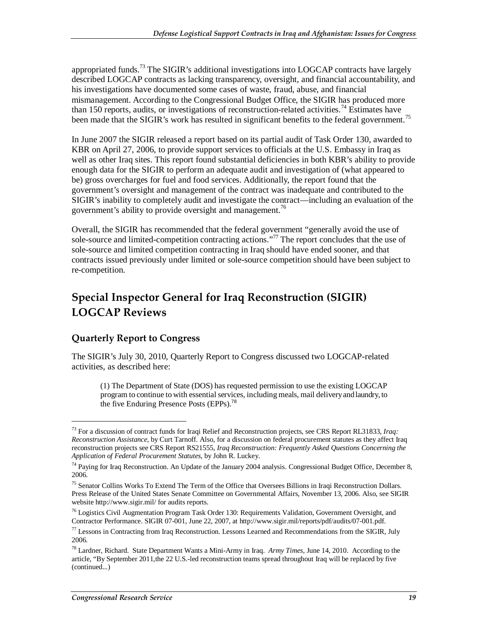appropriated funds.<sup>73</sup> The SIGIR's additional investigations into LOGCAP contracts have largely described LOGCAP contracts as lacking transparency, oversight, and financial accountability, and his investigations have documented some cases of waste, fraud, abuse, and financial mismanagement. According to the Congressional Budget Office, the SIGIR has produced more than 150 reports, audits, or investigations of reconstruction-related activities.<sup>74</sup> Estimates have been made that the SIGIR's work has resulted in significant benefits to the federal government.<sup>75</sup>

In June 2007 the SIGIR released a report based on its partial audit of Task Order 130, awarded to KBR on April 27, 2006, to provide support services to officials at the U.S. Embassy in Iraq as well as other Iraq sites. This report found substantial deficiencies in both KBR's ability to provide enough data for the SIGIR to perform an adequate audit and investigation of (what appeared to be) gross overcharges for fuel and food services. Additionally, the report found that the government's oversight and management of the contract was inadequate and contributed to the SIGIR's inability to completely audit and investigate the contract—including an evaluation of the government's ability to provide oversight and management.<sup>76</sup>

Overall, the SIGIR has recommended that the federal government "generally avoid the use of sole-source and limited-competition contracting actions."77 The report concludes that the use of sole-source and limited competition contracting in Iraq should have ended sooner, and that contracts issued previously under limited or sole-source competition should have been subject to re-competition.

## **Special Inspector General for Iraq Reconstruction (SIGIR) LOGCAP Reviews**

#### **Quarterly Report to Congress**

1

The SIGIR's July 30, 2010, Quarterly Report to Congress discussed two LOGCAP-related activities, as described here:

(1) The Department of State (DOS) has requested permission to use the existing LOGCAP program to continue to with essential services, including meals, mail delivery and laundry, to the five Enduring Presence Posts (EPPs).<sup>78</sup>

<sup>73</sup> For a discussion of contract funds for Iraqi Relief and Reconstruction projects, see CRS Report RL31833, *Iraq: Reconstruction Assistance*, by Curt Tarnoff. Also, for a discussion on federal procurement statutes as they affect Iraq reconstruction projects see CRS Report RS21555, *Iraq Reconstruction: Frequently Asked Questions Concerning the Application of Federal Procurement Statutes*, by John R. Luckey.

<sup>&</sup>lt;sup>74</sup> Paying for Iraq Reconstruction. An Update of the January 2004 analysis. Congressional Budget Office, December 8, 2006.

<sup>&</sup>lt;sup>75</sup> Senator Collins Works To Extend The Term of the Office that Oversees Billions in Iraqi Reconstruction Dollars. Press Release of the United States Senate Committee on Governmental Affairs, November 13, 2006. Also, see SIGIR website http://www.sigir.mil/ for audits reports.

<sup>&</sup>lt;sup>76</sup> Logistics Civil Augmentation Program Task Order 130: Requirements Validation, Government Oversight, and Contractor Performance. SIGIR 07-001, June 22, 2007, at http://www.sigir.mil/reports/pdf/audits/07-001.pdf.

 $^{77}$  Lessons in Contracting from Iraq Reconstruction. Lessons Learned and Recommendations from the SIGIR, July 2006.

<sup>78</sup> Lardner, Richard. State Department Wants a Mini-Army in Iraq. *Army Times*, June 14, 2010. According to the article, "By September 2011,the 22 U.S.-led reconstruction teams spread throughout Iraq will be replaced by five (continued...)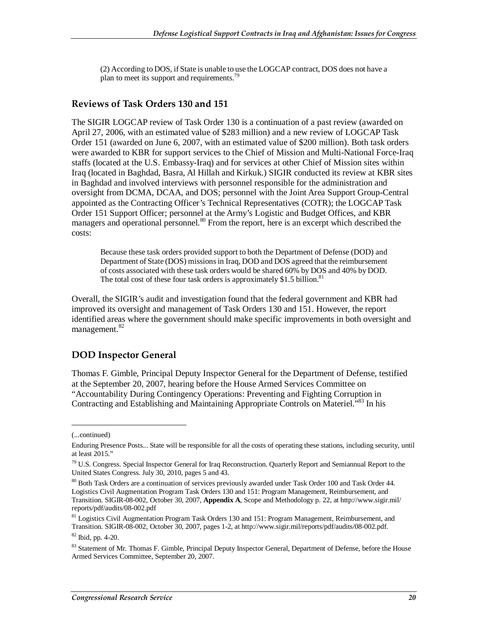(2) According to DOS, if State is unable to use the LOGCAP contract, DOS does not have a plan to meet its support and requirements.<sup>79</sup>

#### **Reviews of Task Orders 130 and 151**

The SIGIR LOGCAP review of Task Order 130 is a continuation of a past review (awarded on April 27, 2006, with an estimated value of \$283 million) and a new review of LOGCAP Task Order 151 (awarded on June 6, 2007, with an estimated value of \$200 million). Both task orders were awarded to KBR for support services to the Chief of Mission and Multi-National Force-Iraq staffs (located at the U.S. Embassy-Iraq) and for services at other Chief of Mission sites within Iraq (located in Baghdad, Basra, Al Hillah and Kirkuk.) SIGIR conducted its review at KBR sites in Baghdad and involved interviews with personnel responsible for the administration and oversight from DCMA, DCAA, and DOS; personnel with the Joint Area Support Group-Central appointed as the Contracting Officer's Technical Representatives (COTR); the LOGCAP Task Order 151 Support Officer; personnel at the Army's Logistic and Budget Offices, and KBR managers and operational personnel.<sup>80</sup> From the report, here is an excerpt which described the costs:

Because these task orders provided support to both the Department of Defense (DOD) and Department of State (DOS) missions in Iraq, DOD and DOS agreed that the reimbursement of costs associated with these task orders would be shared 60% by DOS and 40% by DOD. The total cost of these four task orders is approximately \$1.5 billion.<sup>81</sup>

Overall, the SIGIR's audit and investigation found that the federal government and KBR had improved its oversight and management of Task Orders 130 and 151. However, the report identified areas where the government should make specific improvements in both oversight and management.<sup>82</sup>

#### **DOD Inspector General**

Thomas F. Gimble, Principal Deputy Inspector General for the Department of Defense, testified at the September 20, 2007, hearing before the House Armed Services Committee on "Accountability During Contingency Operations: Preventing and Fighting Corruption in Contracting and Establishing and Maintaining Appropriate Controls on Materiel.<sup>783</sup> In his

<sup>(...</sup>continued)

Enduring Presence Posts... State will be responsible for all the costs of operating these stations, including security, until at least 2015."

<sup>&</sup>lt;sup>79</sup> U.S. Congress. Special Inspector General for Iraq Reconstruction. Quarterly Report and Semiannual Report to the United States Congress. July 30, 2010, pages 5 and 43.

<sup>80</sup> Both Task Orders are a continuation of services previously awarded under Task Order 100 and Task Order 44. Logistics Civil Augmentation Program Task Orders 130 and 151: Program Management, Reimbursement, and Transition. SIGIR-08-002, October 30, 2007, **Appendix A**, Scope and Methodology p. 22, at http://www.sigir.mil/ reports/pdf/audits/08-002.pdf

<sup>&</sup>lt;sup>81</sup> Logistics Civil Augmentation Program Task Orders 130 and 151: Program Management, Reimbursement, and Transition. SIGIR-08-002, October 30, 2007, pages 1-2, at http://www.sigir.mil/reports/pdf/audits/08-002.pdf.

<sup>82</sup> Ibid, pp. 4-20.

<sup>&</sup>lt;sup>83</sup> Statement of Mr. Thomas F. Gimble, Principal Deputy Inspector General, Department of Defense, before the House Armed Services Committee, September 20, 2007.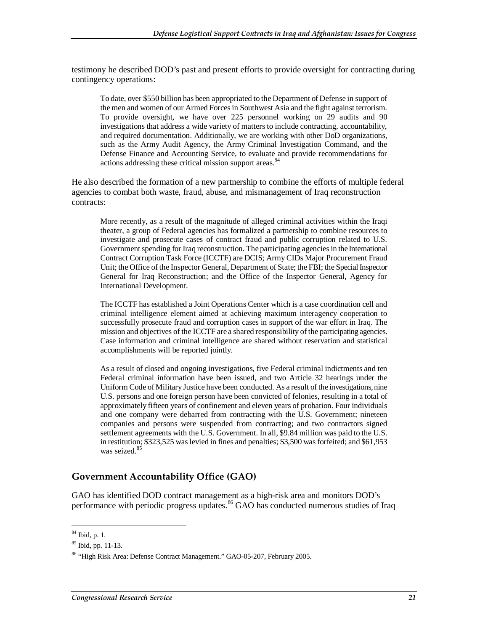testimony he described DOD's past and present efforts to provide oversight for contracting during contingency operations:

To date, over \$550 billion has been appropriated to the Department of Defense in support of the men and women of our Armed Forces in Southwest Asia and the fight against terrorism. To provide oversight, we have over 225 personnel working on 29 audits and 90 investigations that address a wide variety of matters to include contracting, accountability, and required documentation. Additionally, we are working with other DoD organizations, such as the Army Audit Agency, the Army Criminal Investigation Command, and the Defense Finance and Accounting Service, to evaluate and provide recommendations for actions addressing these critical mission support areas.<sup>84</sup>

He also described the formation of a new partnership to combine the efforts of multiple federal agencies to combat both waste, fraud, abuse, and mismanagement of Iraq reconstruction contracts:

More recently, as a result of the magnitude of alleged criminal activities within the Iraqi theater, a group of Federal agencies has formalized a partnership to combine resources to investigate and prosecute cases of contract fraud and public corruption related to U.S. Government spending for Iraq reconstruction. The participating agencies in the International Contract Corruption Task Force (ICCTF) are DCIS; Army CIDs Major Procurement Fraud Unit; the Office of the Inspector General, Department of State; the FBI; the Special Inspector General for Iraq Reconstruction; and the Office of the Inspector General, Agency for International Development.

The ICCTF has established a Joint Operations Center which is a case coordination cell and criminal intelligence element aimed at achieving maximum interagency cooperation to successfully prosecute fraud and corruption cases in support of the war effort in Iraq. The mission and objectives of the ICCTF are a shared responsibility of the participating agencies. Case information and criminal intelligence are shared without reservation and statistical accomplishments will be reported jointly.

As a result of closed and ongoing investigations, five Federal criminal indictments and ten Federal criminal information have been issued, and two Article 32 hearings under the Uniform Code of Military Justice have been conducted. As a result of the investigations, nine U.S. persons and one foreign person have been convicted of felonies, resulting in a total of approximately fifteen years of confinement and eleven years of probation. Four individuals and one company were debarred from contracting with the U.S. Government; nineteen companies and persons were suspended from contracting; and two contractors signed settlement agreements with the U.S. Government. In all, \$9.84 million was paid to the U.S. in restitution; \$323,525 was levied in fines and penalties; \$3,500 was forfeited; and \$61,953 was seized.<sup>85</sup>

#### **Government Accountability Office (GAO)**

GAO has identified DOD contract management as a high-risk area and monitors DOD's performance with periodic progress updates.<sup>86</sup> GAO has conducted numerous studies of Iraq

<sup>84</sup> Ibid, p. 1.

 $85$  Ibid, pp. 11-13.

<sup>86 &</sup>quot;High Risk Area: Defense Contract Management." GAO-05-207, February 2005.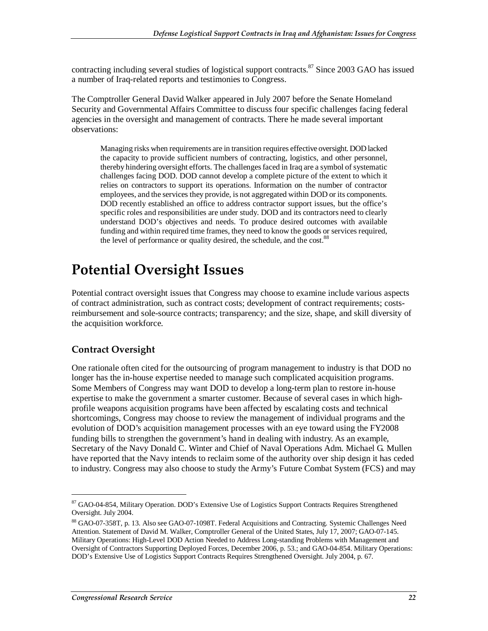contracting including several studies of logistical support contracts.  $87$  Since 2003 GAO has issued a number of Iraq-related reports and testimonies to Congress.

The Comptroller General David Walker appeared in July 2007 before the Senate Homeland Security and Governmental Affairs Committee to discuss four specific challenges facing federal agencies in the oversight and management of contracts. There he made several important observations:

Managing risks when requirements are in transition requires effective oversight. DOD lacked the capacity to provide sufficient numbers of contracting, logistics, and other personnel, thereby hindering oversight efforts. The challenges faced in Iraq are a symbol of systematic challenges facing DOD. DOD cannot develop a complete picture of the extent to which it relies on contractors to support its operations. Information on the number of contractor employees, and the services they provide, is not aggregated within DOD or its components. DOD recently established an office to address contractor support issues, but the office's specific roles and responsibilities are under study. DOD and its contractors need to clearly understand DOD's objectives and needs. To produce desired outcomes with available funding and within required time frames, they need to know the goods or services required, the level of performance or quality desired, the schedule, and the cost.<sup>88</sup>

## **Potential Oversight Issues**

Potential contract oversight issues that Congress may choose to examine include various aspects of contract administration, such as contract costs; development of contract requirements; costsreimbursement and sole-source contracts; transparency; and the size, shape, and skill diversity of the acquisition workforce.

#### **Contract Oversight**

One rationale often cited for the outsourcing of program management to industry is that DOD no longer has the in-house expertise needed to manage such complicated acquisition programs. Some Members of Congress may want DOD to develop a long-term plan to restore in-house expertise to make the government a smarter customer. Because of several cases in which highprofile weapons acquisition programs have been affected by escalating costs and technical shortcomings, Congress may choose to review the management of individual programs and the evolution of DOD's acquisition management processes with an eye toward using the FY2008 funding bills to strengthen the government's hand in dealing with industry. As an example, Secretary of the Navy Donald C. Winter and Chief of Naval Operations Adm. Michael G. Mullen have reported that the Navy intends to reclaim some of the authority over ship design it has ceded to industry. Congress may also choose to study the Army's Future Combat System (FCS) and may

<sup>87</sup> GAO-04-854, Military Operation. DOD's Extensive Use of Logistics Support Contracts Requires Strengthened Oversight. July 2004.

<sup>88</sup> GAO-07-358T, p. 13. Also see GAO-07-1098T. Federal Acquisitions and Contracting. Systemic Challenges Need Attention. Statement of David M. Walker, Comptroller General of the United States, July 17, 2007; GAO-07-145. Military Operations: High-Level DOD Action Needed to Address Long-standing Problems with Management and Oversight of Contractors Supporting Deployed Forces, December 2006, p. 53.; and GAO-04-854. Military Operations: DOD's Extensive Use of Logistics Support Contracts Requires Strengthened Oversight. July 2004, p. 67.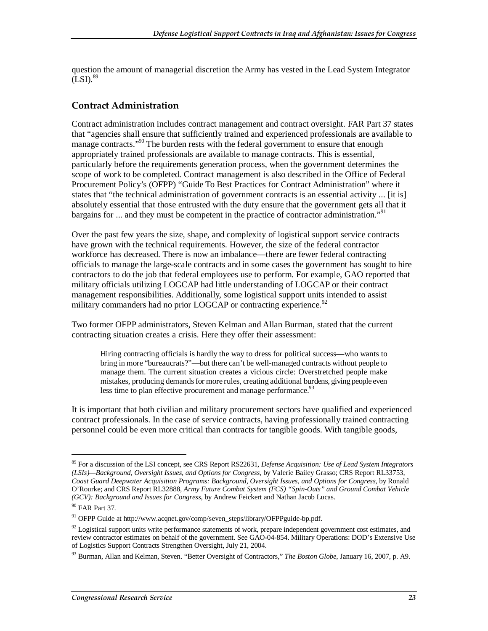question the amount of managerial discretion the Army has vested in the Lead System Integrator  $(LSI).$ <sup>89</sup>

#### **Contract Administration**

Contract administration includes contract management and contract oversight. FAR Part 37 states that "agencies shall ensure that sufficiently trained and experienced professionals are available to manage contracts."<sup>90</sup> The burden rests with the federal government to ensure that enough appropriately trained professionals are available to manage contracts. This is essential, particularly before the requirements generation process, when the government determines the scope of work to be completed. Contract management is also described in the Office of Federal Procurement Policy's (OFPP) "Guide To Best Practices for Contract Administration" where it states that "the technical administration of government contracts is an essential activity ... [it is] absolutely essential that those entrusted with the duty ensure that the government gets all that it bargains for ... and they must be competent in the practice of contractor administration."<sup>91</sup>

Over the past few years the size, shape, and complexity of logistical support service contracts have grown with the technical requirements. However, the size of the federal contractor workforce has decreased. There is now an imbalance—there are fewer federal contracting officials to manage the large-scale contracts and in some cases the government has sought to hire contractors to do the job that federal employees use to perform. For example, GAO reported that military officials utilizing LOGCAP had little understanding of LOGCAP or their contract management responsibilities. Additionally, some logistical support units intended to assist military commanders had no prior LOGCAP or contracting experience.  $^{92}$ 

Two former OFPP administrators, Steven Kelman and Allan Burman, stated that the current contracting situation creates a crisis. Here they offer their assessment:

Hiring contracting officials is hardly the way to dress for political success—who wants to bring in more "bureaucrats?"—but there can't be well-managed contracts without people to manage them. The current situation creates a vicious circle: Overstretched people make mistakes, producing demands for more rules, creating additional burdens, giving people even less time to plan effective procurement and manage performance.<sup>93</sup>

It is important that both civilian and military procurement sectors have qualified and experienced contract professionals. In the case of service contracts, having professionally trained contracting personnel could be even more critical than contracts for tangible goods. With tangible goods,

<sup>89</sup> For a discussion of the LSI concept, see CRS Report RS22631, *Defense Acquisition: Use of Lead System Integrators (LSIs)—Background, Oversight Issues, and Options for Congress*, by Valerie Bailey Grasso; CRS Report RL33753, *Coast Guard Deepwater Acquisition Programs: Background, Oversight Issues, and Options for Congress*, by Ronald O'Rourke; and CRS Report RL32888, *Army Future Combat System (FCS) "Spin-Outs" and Ground Combat Vehicle (GCV): Background and Issues for Congress*, by Andrew Feickert and Nathan Jacob Lucas.

<sup>&</sup>lt;sup>90</sup> FAR Part 37.

<sup>91</sup> OFPP Guide at http://www.acqnet.gov/comp/seven\_steps/library/OFPPguide-bp.pdf.

 $92$  Logistical support units write performance statements of work, prepare independent government cost estimates, and review contractor estimates on behalf of the government. See GAO-04-854. Military Operations: DOD's Extensive Use of Logistics Support Contracts Strengthen Oversight, July 21, 2004.

<sup>93</sup> Burman, Allan and Kelman, Steven. "Better Oversight of Contractors," *The Boston Globe*, January 16, 2007, p. A9.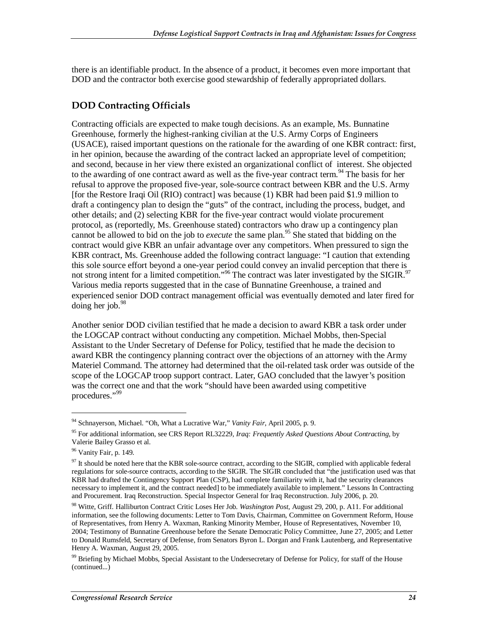there is an identifiable product. In the absence of a product, it becomes even more important that DOD and the contractor both exercise good stewardship of federally appropriated dollars.

#### **DOD Contracting Officials**

Contracting officials are expected to make tough decisions. As an example, Ms. Bunnatine Greenhouse, formerly the highest-ranking civilian at the U.S. Army Corps of Engineers (USACE), raised important questions on the rationale for the awarding of one KBR contract: first, in her opinion, because the awarding of the contract lacked an appropriate level of competition; and second, because in her view there existed an organizational conflict of interest. She objected to the awarding of one contract award as well as the five-year contract term.<sup>94</sup> The basis for her refusal to approve the proposed five-year, sole-source contract between KBR and the U.S. Army [for the Restore Iraqi Oil (RIO) contract] was because (1) KBR had been paid \$1.9 million to draft a contingency plan to design the "guts" of the contract, including the process, budget, and other details; and (2) selecting KBR for the five-year contract would violate procurement protocol, as (reportedly, Ms. Greenhouse stated) contractors who draw up a contingency plan cannot be allowed to bid on the job to *execute* the same plan.<sup>95</sup> She stated that bidding on the contract would give KBR an unfair advantage over any competitors. When pressured to sign the KBR contract, Ms. Greenhouse added the following contract language: "I caution that extending this sole source effort beyond a one-year period could convey an invalid perception that there is not strong intent for a limited competition."<sup>96</sup> The contract was later investigated by the SIGIR.<sup>97</sup> Various media reports suggested that in the case of Bunnatine Greenhouse, a trained and experienced senior DOD contract management official was eventually demoted and later fired for doing her job. $98$ 

Another senior DOD civilian testified that he made a decision to award KBR a task order under the LOGCAP contract without conducting any competition. Michael Mobbs, then-Special Assistant to the Under Secretary of Defense for Policy, testified that he made the decision to award KBR the contingency planning contract over the objections of an attorney with the Army Materiel Command. The attorney had determined that the oil-related task order was outside of the scope of the LOGCAP troop support contract. Later, GAO concluded that the lawyer's position was the correct one and that the work "should have been awarded using competitive procedures."<sup>99</sup>

<sup>94</sup> Schnayerson, Michael. "Oh, What a Lucrative War," *Vanity Fair*, April 2005, p. 9.

<sup>95</sup> For additional information, see CRS Report RL32229, *Iraq: Frequently Asked Questions About Contracting*, by Valerie Bailey Grasso et al.

<sup>96</sup> Vanity Fair, p. 149.

 $97$  It should be noted here that the KBR sole-source contract, according to the SIGIR, complied with applicable federal regulations for sole-source contracts, according to the SIGIR. The SIGIR concluded that "the justification used was that KBR had drafted the Contingency Support Plan (CSP), had complete familiarity with it, had the security clearances necessary to implement it, and the contract needed] to be immediately available to implement." Lessons In Contracting and Procurement. Iraq Reconstruction. Special Inspector General for Iraq Reconstruction. July 2006, p. 20.

<sup>98</sup> Witte, Griff. Halliburton Contract Critic Loses Her Job. *Washington Post*, August 29, 200, p. A11. For additional information, see the following documents: Letter to Tom Davis, Chairman, Committee on Government Reform, House of Representatives, from Henry A. Waxman, Ranking Minority Member, House of Representatives, November 10, 2004; Testimony of Bunnatine Greenhouse before the Senate Democratic Policy Committee, June 27, 2005; and Letter to Donald Rumsfeld, Secretary of Defense, from Senators Byron L. Dorgan and Frank Lautenberg, and Representative Henry A. Waxman, August 29, 2005.

<sup>&</sup>lt;sup>99</sup> Briefing by Michael Mobbs, Special Assistant to the Undersecretary of Defense for Policy, for staff of the House (continued...)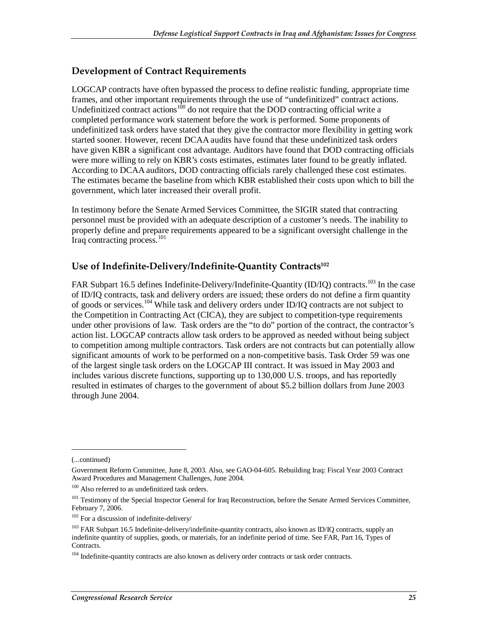#### **Development of Contract Requirements**

LOGCAP contracts have often bypassed the process to define realistic funding, appropriate time frames, and other important requirements through the use of "undefinitized" contract actions. Undefinitized contract actions<sup>100</sup> do not require that the DOD contracting official write a completed performance work statement before the work is performed. Some proponents of undefinitized task orders have stated that they give the contractor more flexibility in getting work started sooner. However, recent DCAA audits have found that these undefinitized task orders have given KBR a significant cost advantage. Auditors have found that DOD contracting officials were more willing to rely on KBR's costs estimates, estimates later found to be greatly inflated. According to DCAA auditors, DOD contracting officials rarely challenged these cost estimates. The estimates became the baseline from which KBR established their costs upon which to bill the government, which later increased their overall profit.

In testimony before the Senate Armed Services Committee, the SIGIR stated that contracting personnel must be provided with an adequate description of a customer's needs. The inability to properly define and prepare requirements appeared to be a significant oversight challenge in the Iraq contracting process.<sup>101</sup>

#### **Use of Indefinite-Delivery/Indefinite-Quantity Contracts102**

FAR Subpart 16.5 defines Indefinite-Delivery/Indefinite-Quantity (ID/IQ) contracts.<sup>103</sup> In the case of ID/IQ contracts, task and delivery orders are issued; these orders do not define a firm quantity of goods or services.<sup>104</sup> While task and delivery orders under ID/IQ contracts are not subject to the Competition in Contracting Act (CICA), they are subject to competition-type requirements under other provisions of law. Task orders are the "to do" portion of the contract, the contractor's action list. LOGCAP contracts allow task orders to be approved as needed without being subject to competition among multiple contractors. Task orders are not contracts but can potentially allow significant amounts of work to be performed on a non-competitive basis. Task Order 59 was one of the largest single task orders on the LOGCAP III contract. It was issued in May 2003 and includes various discrete functions, supporting up to 130,000 U.S. troops, and has reportedly resulted in estimates of charges to the government of about \$5.2 billion dollars from June 2003 through June 2004.

<sup>(...</sup>continued)

Government Reform Committee, June 8, 2003. Also, see GAO-04-605. Rebuilding Iraq: Fiscal Year 2003 Contract Award Procedures and Management Challenges, June 2004.

 $100$  Also referred to as undefinitized task orders.

<sup>&</sup>lt;sup>101</sup> Testimony of the Special Inspector General for Iraq Reconstruction, before the Senate Armed Services Committee, February 7, 2006.

 $102$  For a discussion of indefinite-delivery/

<sup>&</sup>lt;sup>103</sup> FAR Subpart 16.5 Indefinite-delivery/indefinite-quantity contracts, also known as ID/IQ contracts, supply an indefinite quantity of supplies, goods, or materials, for an indefinite period of time. See FAR, Part 16, Types of Contracts.

<sup>&</sup>lt;sup>104</sup> Indefinite-quantity contracts are also known as delivery order contracts or task order contracts.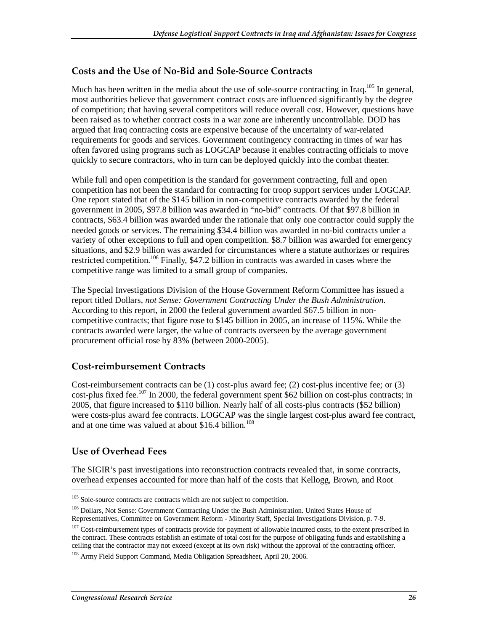#### **Costs and the Use of No-Bid and Sole-Source Contracts**

Much has been written in the media about the use of sole-source contracting in Iraq.<sup>105</sup> In general, most authorities believe that government contract costs are influenced significantly by the degree of competition; that having several competitors will reduce overall cost. However, questions have been raised as to whether contract costs in a war zone are inherently uncontrollable. DOD has argued that Iraq contracting costs are expensive because of the uncertainty of war-related requirements for goods and services. Government contingency contracting in times of war has often favored using programs such as LOGCAP because it enables contracting officials to move quickly to secure contractors, who in turn can be deployed quickly into the combat theater.

While full and open competition is the standard for government contracting, full and open competition has not been the standard for contracting for troop support services under LOGCAP. One report stated that of the \$145 billion in non-competitive contracts awarded by the federal government in 2005, \$97.8 billion was awarded in "no-bid" contracts. Of that \$97.8 billion in contracts, \$63.4 billion was awarded under the rationale that only one contractor could supply the needed goods or services. The remaining \$34.4 billion was awarded in no-bid contracts under a variety of other exceptions to full and open competition. \$8.7 billion was awarded for emergency situations, and \$2.9 billion was awarded for circumstances where a statute authorizes or requires restricted competition.<sup>106</sup> Finally, \$47.2 billion in contracts was awarded in cases where the competitive range was limited to a small group of companies.

The Special Investigations Division of the House Government Reform Committee has issued a report titled Dollars*, not Sense: Government Contracting Under the Bush Administration*. According to this report, in 2000 the federal government awarded \$67.5 billion in noncompetitive contracts; that figure rose to \$145 billion in 2005, an increase of 115%. While the contracts awarded were larger, the value of contracts overseen by the average government procurement official rose by 83% (between 2000-2005).

#### **Cost-reimbursement Contracts**

Cost-reimbursement contracts can be (1) cost-plus award fee; (2) cost-plus incentive fee; or (3) cost-plus fixed fee.<sup>107</sup> In 2000, the federal government spent \$62 billion on cost-plus contracts; in 2005, that figure increased to \$110 billion. Nearly half of all costs-plus contracts (\$52 billion) were costs-plus award fee contracts. LOGCAP was the single largest cost-plus award fee contract, and at one time was valued at about \$16.4 billion.<sup>108</sup>

#### **Use of Overhead Fees**

1

The SIGIR's past investigations into reconstruction contracts revealed that, in some contracts, overhead expenses accounted for more than half of the costs that Kellogg, Brown, and Root

<sup>106</sup> Dollars, Not Sense: Government Contracting Under the Bush Administration. United States House of Representatives, Committee on Government Reform - Minority Staff, Special Investigations Division, p. 7-9.

<sup>&</sup>lt;sup>105</sup> Sole-source contracts are contracts which are not subject to competition.

<sup>&</sup>lt;sup>107</sup> Cost-reimbursement types of contracts provide for payment of allowable incurred costs, to the extent prescribed in the contract. These contracts establish an estimate of total cost for the purpose of obligating funds and establishing a ceiling that the contractor may not exceed (except at its own risk) without the approval of the contracting officer.

<sup>&</sup>lt;sup>108</sup> Army Field Support Command, Media Obligation Spreadsheet, April 20, 2006.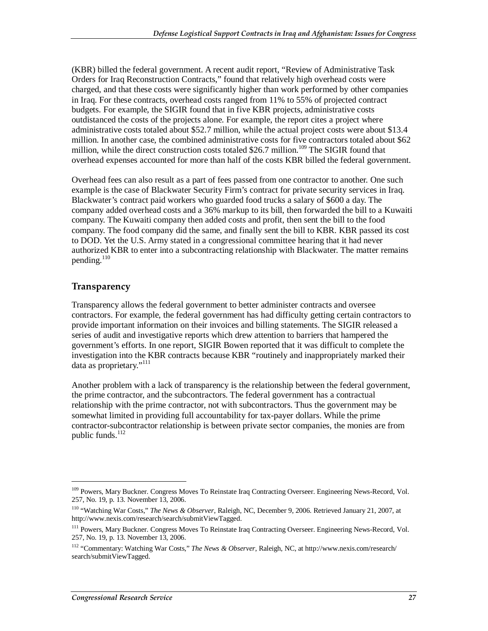(KBR) billed the federal government. A recent audit report, "Review of Administrative Task Orders for Iraq Reconstruction Contracts," found that relatively high overhead costs were charged, and that these costs were significantly higher than work performed by other companies in Iraq. For these contracts, overhead costs ranged from 11% to 55% of projected contract budgets. For example, the SIGIR found that in five KBR projects, administrative costs outdistanced the costs of the projects alone. For example, the report cites a project where administrative costs totaled about \$52.7 million, while the actual project costs were about \$13.4 million. In another case, the combined administrative costs for five contractors totaled about \$62 million, while the direct construction costs totaled \$26.7 million.<sup>109</sup> The SIGIR found that overhead expenses accounted for more than half of the costs KBR billed the federal government.

Overhead fees can also result as a part of fees passed from one contractor to another. One such example is the case of Blackwater Security Firm's contract for private security services in Iraq. Blackwater's contract paid workers who guarded food trucks a salary of \$600 a day. The company added overhead costs and a 36% markup to its bill, then forwarded the bill to a Kuwaiti company. The Kuwaiti company then added costs and profit, then sent the bill to the food company. The food company did the same, and finally sent the bill to KBR. KBR passed its cost to DOD. Yet the U.S. Army stated in a congressional committee hearing that it had never authorized KBR to enter into a subcontracting relationship with Blackwater. The matter remains pending. $110$ 

#### **Transparency**

<u>.</u>

Transparency allows the federal government to better administer contracts and oversee contractors. For example, the federal government has had difficulty getting certain contractors to provide important information on their invoices and billing statements. The SIGIR released a series of audit and investigative reports which drew attention to barriers that hampered the government's efforts. In one report, SIGIR Bowen reported that it was difficult to complete the investigation into the KBR contracts because KBR "routinely and inappropriately marked their data as proprietary."<sup>111</sup>

Another problem with a lack of transparency is the relationship between the federal government, the prime contractor, and the subcontractors. The federal government has a contractual relationship with the prime contractor, not with subcontractors. Thus the government may be somewhat limited in providing full accountability for tax-payer dollars. While the prime contractor-subcontractor relationship is between private sector companies, the monies are from public funds. $112$ 

<sup>&</sup>lt;sup>109</sup> Powers, Mary Buckner. Congress Moves To Reinstate Iraq Contracting Overseer. Engineering News-Record, Vol. 257, No. 19, p. 13. November 13, 2006.

<sup>110 &</sup>quot;Watching War Costs," *The News & Observer*, Raleigh, NC, December 9, 2006. Retrieved January 21, 2007, at http://www.nexis.com/research/search/submitViewTagged.

<sup>&</sup>lt;sup>111</sup> Powers, Mary Buckner. Congress Moves To Reinstate Iraq Contracting Overseer. Engineering News-Record, Vol. 257, No. 19, p. 13. November 13, 2006.

<sup>112 &</sup>quot;Commentary: Watching War Costs," *The News & Observer*, Raleigh, NC, at http://www.nexis.com/research/ search/submitViewTagged.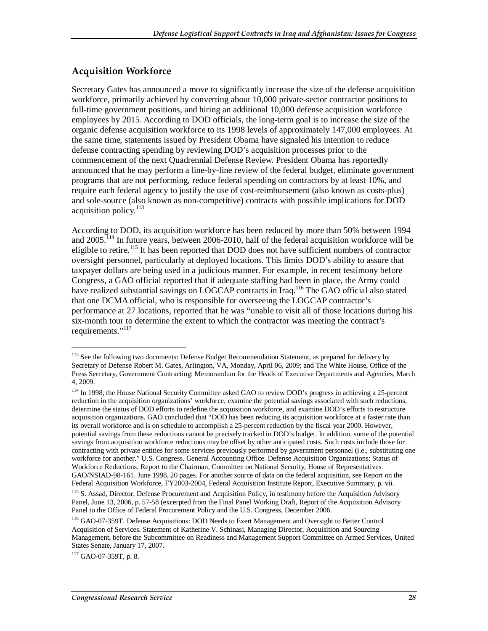#### **Acquisition Workforce**

Secretary Gates has announced a move to significantly increase the size of the defense acquisition workforce, primarily achieved by converting about 10,000 private-sector contractor positions to full-time government positions, and hiring an additional 10,000 defense acquisition workforce employees by 2015. According to DOD officials, the long-term goal is to increase the size of the organic defense acquisition workforce to its 1998 levels of approximately 147,000 employees. At the same time, statements issued by President Obama have signaled his intention to reduce defense contracting spending by reviewing DOD's acquisition processes prior to the commencement of the next Quadrennial Defense Review. President Obama has reportedly announced that he may perform a line-by-line review of the federal budget, eliminate government programs that are not performing, reduce federal spending on contractors by at least 10%, and require each federal agency to justify the use of cost-reimbursement (also known as costs-plus) and sole-source (also known as non-competitive) contracts with possible implications for DOD acquisition policy.<sup>113</sup>

According to DOD, its acquisition workforce has been reduced by more than 50% between 1994 and 2005.114 In future years, between 2006-2010, half of the federal acquisition workforce will be eligible to retire.<sup>115</sup> It has been reported that DOD does not have sufficient numbers of contractor oversight personnel, particularly at deployed locations. This limits DOD's ability to assure that taxpayer dollars are being used in a judicious manner. For example, in recent testimony before Congress, a GAO official reported that if adequate staffing had been in place, the Army could have realized substantial savings on LOGCAP contracts in Iraq.<sup>116</sup> The GAO official also stated that one DCMA official, who is responsible for overseeing the LOGCAP contractor's performance at 27 locations, reported that he was "unable to visit all of those locations during his six-month tour to determine the extent to which the contractor was meeting the contract's requirements."<sup>117</sup>

117 GAO-07-359T, p. 8.

<sup>&</sup>lt;sup>113</sup> See the following two documents: Defense Budget Recommendation Statement, as prepared for delivery by Secretary of Defense Robert M. Gates, Arlington, VA, Monday, April 06, 2009; and The White House, Office of the Press Secretary, Government Contracting: Memorandum for the Heads of Executive Departments and Agencies, March 4, 2009.

<sup>&</sup>lt;sup>114</sup> In 1998, the House National Security Committee asked GAO to review DOD's progress in achieving a 25-percent reduction in the acquisition organizations' workforce, examine the potential savings associated with such reductions, determine the status of DOD efforts to redefine the acquisition workforce, and examine DOD's efforts to restructure acquisition organizations. GAO concluded that "DOD has been reducing its acquisition workforce at a faster rate than its overall workforce and is on schedule to accomplish a 25-percent reduction by the fiscal year 2000. However, potential savings from these reductions cannot be precisely tracked in DOD's budget. In addition, some of the potential savings from acquisition workforce reductions may be offset by other anticipated costs. Such costs include those for contracting with private entities for some services previously performed by government personnel (i.e., substituting one workforce for another." U.S. Congress. General Accounting Office. Defense Acquisition Organizations: Status of Workforce Reductions. Report to the Chairman, Committee on National Security, House of Representatives. GAO/NSIAD-98-161. June 1998. 20 pages. For another source of data on the federal acquisition, see Report on the Federal Acquisition Workforce, FY2003-2004, Federal Acquisition Institute Report, Executive Summary, p. vii.

<sup>&</sup>lt;sup>115</sup> S. Assad, Director, Defense Procurement and Acquisition Policy, in testimony before the Acquisition Advisory Panel, June 13, 2006, p. 57-58 (excerpted from the Final Panel Working Draft, Report of the Acquisition Advisory Panel to the Office of Federal Procurement Policy and the U.S. Congress, December 2006.

<sup>116</sup> GAO-07-359T. Defense Acquisitions: DOD Needs to Exert Management and Oversight to Better Control Acquisition of Services. Statement of Katherine V. Schinasi, Managing Director, Acquisition and Sourcing Management, before the Subcommittee on Readiness and Management Support Committee on Armed Services, United States Senate, January 17, 2007.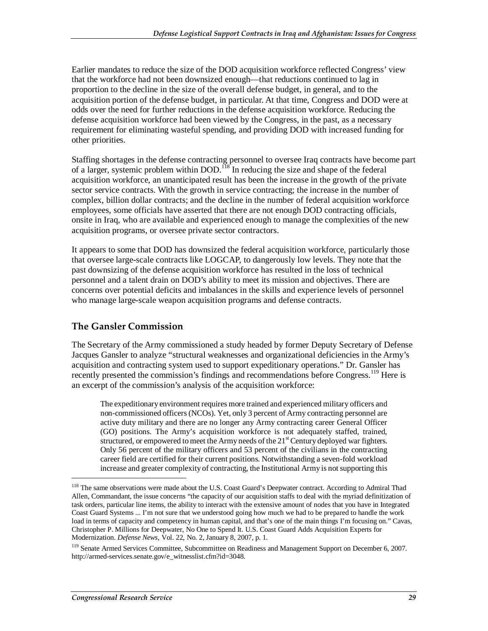Earlier mandates to reduce the size of the DOD acquisition workforce reflected Congress' view that the workforce had not been downsized enough—that reductions continued to lag in proportion to the decline in the size of the overall defense budget, in general, and to the acquisition portion of the defense budget, in particular. At that time, Congress and DOD were at odds over the need for further reductions in the defense acquisition workforce. Reducing the defense acquisition workforce had been viewed by the Congress, in the past, as a necessary requirement for eliminating wasteful spending, and providing DOD with increased funding for other priorities.

Staffing shortages in the defense contracting personnel to oversee Iraq contracts have become part of a larger, systemic problem within DOD.<sup>118</sup> In reducing the size and shape of the federal acquisition workforce, an unanticipated result has been the increase in the growth of the private sector service contracts. With the growth in service contracting; the increase in the number of complex, billion dollar contracts; and the decline in the number of federal acquisition workforce employees, some officials have asserted that there are not enough DOD contracting officials, onsite in Iraq, who are available and experienced enough to manage the complexities of the new acquisition programs, or oversee private sector contractors.

It appears to some that DOD has downsized the federal acquisition workforce, particularly those that oversee large-scale contracts like LOGCAP, to dangerously low levels. They note that the past downsizing of the defense acquisition workforce has resulted in the loss of technical personnel and a talent drain on DOD's ability to meet its mission and objectives. There are concerns over potential deficits and imbalances in the skills and experience levels of personnel who manage large-scale weapon acquisition programs and defense contracts.

#### **The Gansler Commission**

The Secretary of the Army commissioned a study headed by former Deputy Secretary of Defense Jacques Gansler to analyze "structural weaknesses and organizational deficiencies in the Army's acquisition and contracting system used to support expeditionary operations." Dr. Gansler has recently presented the commission's findings and recommendations before Congress.<sup>119</sup> Here is an excerpt of the commission's analysis of the acquisition workforce:

The expeditionary environment requires more trained and experienced military officers and non-commissioned officers (NCOs). Yet, only 3 percent of Army contracting personnel are active duty military and there are no longer any Army contracting career General Officer (GO) positions. The Army's acquisition workforce is not adequately staffed, trained, structured, or empowered to meet the Army needs of the  $21<sup>st</sup>$  Century deployed war fighters. Only 56 percent of the military officers and 53 percent of the civilians in the contracting career field are certified for their current positions. Notwithstanding a seven-fold workload increase and greater complexity of contracting, the Institutional Army is not supporting this

<sup>&</sup>lt;sup>118</sup> The same observations were made about the U.S. Coast Guard's Deepwater contract. According to Admiral Thad Allen, Commandant, the issue concerns "the capacity of our acquisition staffs to deal with the myriad definitization of task orders, particular line items, the ability to interact with the extensive amount of nodes that you have in Integrated Coast Guard Systems ... I'm not sure that we understood going how much we had to be prepared to handle the work load in terms of capacity and competency in human capital, and that's one of the main things I'm focusing on." Cavas, Christopher P. Millions for Deepwater, No One to Spend It. U.S. Coast Guard Adds Acquisition Experts for Modernization. *Defense News*, Vol. 22, No. 2, January 8, 2007, p. 1.

<sup>&</sup>lt;sup>119</sup> Senate Armed Services Committee, Subcommittee on Readiness and Management Support on December 6, 2007. http://armed-services.senate.gov/e\_witnesslist.cfm?id=3048.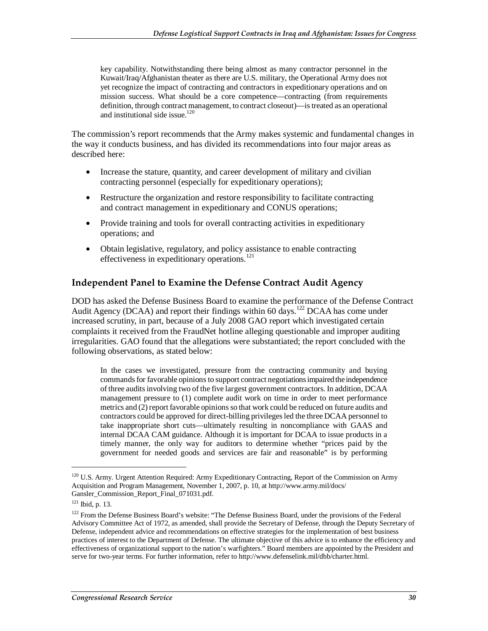key capability. Notwithstanding there being almost as many contractor personnel in the Kuwait/Iraq/Afghanistan theater as there are U.S. military, the Operational Army does not yet recognize the impact of contracting and contractors in expeditionary operations and on mission success. What should be a core competence—contracting (from requirements definition, through contract management, to contract closeout)—is treated as an operational and institutional side issue.<sup>120</sup>

The commission's report recommends that the Army makes systemic and fundamental changes in the way it conducts business, and has divided its recommendations into four major areas as described here:

- Increase the stature, quantity, and career development of military and civilian contracting personnel (especially for expeditionary operations);
- Restructure the organization and restore responsibility to facilitate contracting and contract management in expeditionary and CONUS operations;
- Provide training and tools for overall contracting activities in expeditionary operations; and
- Obtain legislative, regulatory, and policy assistance to enable contracting effectiveness in expeditionary operations.<sup>121</sup>

#### **Independent Panel to Examine the Defense Contract Audit Agency**

DOD has asked the Defense Business Board to examine the performance of the Defense Contract Audit Agency (DCAA) and report their findings within 60 days.<sup>122</sup> DCAA has come under increased scrutiny, in part, because of a July 2008 GAO report which investigated certain complaints it received from the FraudNet hotline alleging questionable and improper auditing irregularities. GAO found that the allegations were substantiated; the report concluded with the following observations, as stated below:

In the cases we investigated, pressure from the contracting community and buying commands for favorable opinions to support contract negotiations impaired the independence of three audits involving two of the five largest government contractors. In addition, DCAA management pressure to (1) complete audit work on time in order to meet performance metrics and (2) report favorable opinions so that work could be reduced on future audits and contractors could be approved for direct-billing privileges led the three DCAA personnel to take inappropriate short cuts—ultimately resulting in noncompliance with GAAS and internal DCAA CAM guidance. Although it is important for DCAA to issue products in a timely manner, the only way for auditors to determine whether "prices paid by the government for needed goods and services are fair and reasonable" is by performing

<sup>&</sup>lt;sup>120</sup> U.S. Army. Urgent Attention Required: Army Expeditionary Contracting, Report of the Commission on Army Acquisition and Program Management, November 1, 2007, p. 10, at http://www.army.mil/docs/ Gansler Commission Report Final 071031.pdf.

<sup>121</sup> Ibid, p. 13.

<sup>&</sup>lt;sup>122</sup> From the Defense Business Board's website: "The Defense Business Board, under the provisions of the Federal Advisory Committee Act of 1972, as amended, shall provide the Secretary of Defense, through the Deputy Secretary of Defense, independent advice and recommendations on effective strategies for the implementation of best business practices of interest to the Department of Defense. The ultimate objective of this advice is to enhance the efficiency and effectiveness of organizational support to the nation's warfighters." Board members are appointed by the President and serve for two-year terms. For further information, refer to http://www.defenselink.mil/dbb/charter.html.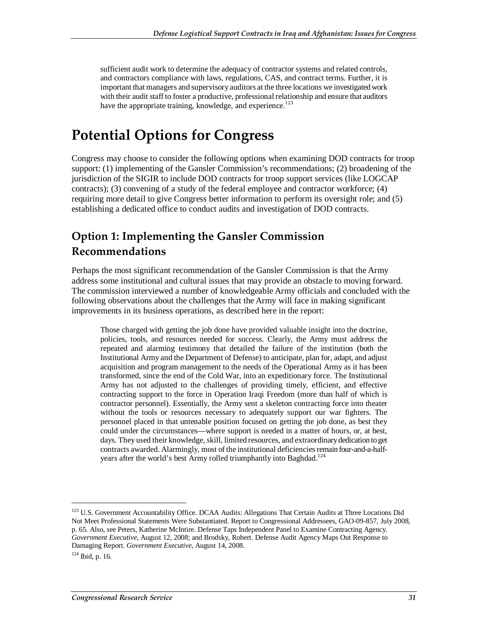sufficient audit work to determine the adequacy of contractor systems and related controls, and contractors compliance with laws, regulations, CAS, and contract terms. Further, it is important that managers and supervisory auditors at the three locations we investigated work with their audit staff to foster a productive, professional relationship and ensure that auditors have the appropriate training, knowledge, and experience.<sup>123</sup>

## **Potential Options for Congress**

Congress may choose to consider the following options when examining DOD contracts for troop support: (1) implementing of the Gansler Commission's recommendations; (2) broadening of the jurisdiction of the SIGIR to include DOD contracts for troop support services (like LOGCAP contracts); (3) convening of a study of the federal employee and contractor workforce; (4) requiring more detail to give Congress better information to perform its oversight role; and (5) establishing a dedicated office to conduct audits and investigation of DOD contracts.

## **Option 1: Implementing the Gansler Commission Recommendations**

Perhaps the most significant recommendation of the Gansler Commission is that the Army address some institutional and cultural issues that may provide an obstacle to moving forward. The commission interviewed a number of knowledgeable Army officials and concluded with the following observations about the challenges that the Army will face in making significant improvements in its business operations, as described here in the report:

Those charged with getting the job done have provided valuable insight into the doctrine, policies, tools, and resources needed for success. Clearly, the Army must address the repeated and alarming testimony that detailed the failure of the institution (both the Institutional Army and the Department of Defense) to anticipate, plan for, adapt, and adjust acquisition and program management to the needs of the Operational Army as it has been transformed, since the end of the Cold War, into an expeditionary force. The Institutional Army has not adjusted to the challenges of providing timely, efficient, and effective contracting support to the force in Operation Iraqi Freedom (more than half of which is contractor personnel). Essentially, the Army sent a skeleton contracting force into theater without the tools or resources necessary to adequately support our war fighters. The personnel placed in that untenable position focused on getting the job done, as best they could under the circumstances—where support is needed in a matter of hours, or, at best, days. They used their knowledge, skill, limited resources, and extraordinary dedication to get contracts awarded. Alarmingly, most of the institutional deficiencies remain four-and-a-halfyears after the world's best Army rolled triumphantly into Baghdad.<sup>124</sup>

<sup>&</sup>lt;sup>123</sup> U.S. Government Accountability Office. DCAA Audits: Allegations That Certain Audits at Three Locations Did Not Meet Professional Statements Were Substantiated. Report to Congressional Addressees, GAO-09-857, July 2008, p. 65. Also, see Peters, Katherine McIntire. Defense Taps Independent Panel to Examine Contracting Agency. *Government Executive*, August 12, 2008; and Brodsky, Robert. Defense Audit Agency Maps Out Response to Damaging Report. *Government Executive*, August 14, 2008.

 $124$  Ibid, p. 16.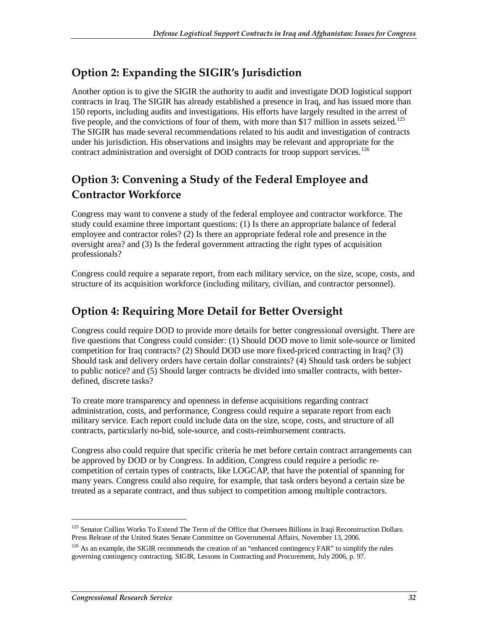## **Option 2: Expanding the SIGIR's Jurisdiction**

Another option is to give the SIGIR the authority to audit and investigate DOD logistical support contracts in Iraq. The SIGIR has already established a presence in Iraq, and has issued more than 150 reports, including audits and investigations. His efforts have largely resulted in the arrest of five people, and the convictions of four of them, with more than \$17 million in assets seized.<sup>125</sup> The SIGIR has made several recommendations related to his audit and investigation of contracts under his jurisdiction. His observations and insights may be relevant and appropriate for the contract administration and oversight of DOD contracts for troop support services.<sup>126</sup>

## **Option 3: Convening a Study of the Federal Employee and Contractor Workforce**

Congress may want to convene a study of the federal employee and contractor workforce. The study could examine three important questions: (1) Is there an appropriate balance of federal employee and contractor roles? (2) Is there an appropriate federal role and presence in the oversight area? and (3) Is the federal government attracting the right types of acquisition professionals?

Congress could require a separate report, from each military service, on the size, scope, costs, and structure of its acquisition workforce (including military, civilian, and contractor personnel).

## **Option 4: Requiring More Detail for Better Oversight**

Congress could require DOD to provide more details for better congressional oversight. There are five questions that Congress could consider: (1) Should DOD move to limit sole-source or limited competition for Iraq contracts? (2) Should DOD use more fixed-priced contracting in Iraq? (3) Should task and delivery orders have certain dollar constraints? (4) Should task orders be subject to public notice? and (5) Should larger contracts be divided into smaller contracts, with betterdefined, discrete tasks?

To create more transparency and openness in defense acquisitions regarding contract administration, costs, and performance, Congress could require a separate report from each military service. Each report could include data on the size, scope, costs, and structure of all contracts, particularly no-bid, sole-source, and costs-reimbursement contracts.

Congress also could require that specific criteria be met before certain contract arrangements can be approved by DOD or by Congress. In addition, Congress could require a periodic recompetition of certain types of contracts, like LOGCAP, that have the potential of spanning for many years. Congress could also require, for example, that task orders beyond a certain size be treated as a separate contract, and thus subject to competition among multiple contractors.

<sup>&</sup>lt;sup>125</sup> Senator Collins Works To Extend The Term of the Office that Oversees Billions in Iraqi Reconstruction Dollars. Press Release of the United States Senate Committee on Governmental Affairs, November 13, 2006.

<sup>&</sup>lt;sup>126</sup> As an example, the SIGIR recommends the creation of an "enhanced contingency FAR" to simplify the rules governing contingency contracting. SIGIR, Lessons in Contracting and Procurement, July 2006, p. 97.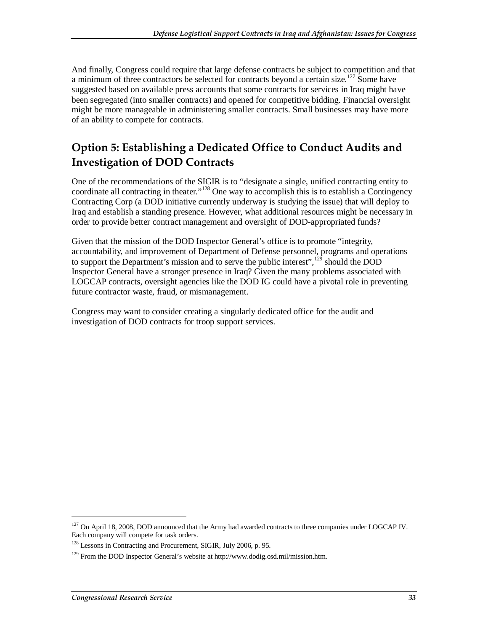And finally, Congress could require that large defense contracts be subject to competition and that a minimum of three contractors be selected for contracts beyond a certain size.<sup>127</sup> Some have suggested based on available press accounts that some contracts for services in Iraq might have been segregated (into smaller contracts) and opened for competitive bidding. Financial oversight might be more manageable in administering smaller contracts. Small businesses may have more of an ability to compete for contracts.

## **Option 5: Establishing a Dedicated Office to Conduct Audits and Investigation of DOD Contracts**

One of the recommendations of the SIGIR is to "designate a single, unified contracting entity to coordinate all contracting in theater."<sup>128</sup> One way to accomplish this is to establish a Contingency Contracting Corp (a DOD initiative currently underway is studying the issue) that will deploy to Iraq and establish a standing presence. However, what additional resources might be necessary in order to provide better contract management and oversight of DOD-appropriated funds?

Given that the mission of the DOD Inspector General's office is to promote "integrity, accountability, and improvement of Department of Defense personnel, programs and operations to support the Department's mission and to serve the public interest",<sup>129</sup> should the DOD Inspector General have a stronger presence in Iraq? Given the many problems associated with LOGCAP contracts, oversight agencies like the DOD IG could have a pivotal role in preventing future contractor waste, fraud, or mismanagement.

Congress may want to consider creating a singularly dedicated office for the audit and investigation of DOD contracts for troop support services.

<sup>&</sup>lt;sup>127</sup> On April 18, 2008, DOD announced that the Army had awarded contracts to three companies under LOGCAP IV. Each company will compete for task orders.

<sup>&</sup>lt;sup>128</sup> Lessons in Contracting and Procurement, SIGIR, July 2006, p. 95.

<sup>129</sup> From the DOD Inspector General's website at http://www.dodig.osd.mil/mission.htm.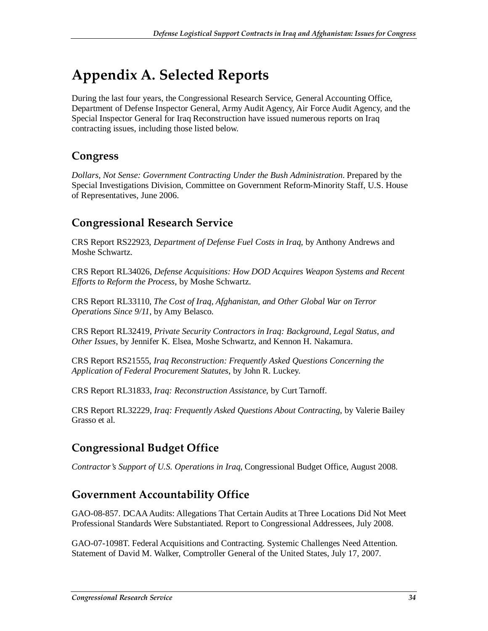# **Appendix A. Selected Reports**

During the last four years, the Congressional Research Service, General Accounting Office, Department of Defense Inspector General, Army Audit Agency, Air Force Audit Agency, and the Special Inspector General for Iraq Reconstruction have issued numerous reports on Iraq contracting issues, including those listed below.

## **Congress**

*Dollars, Not Sense: Government Contracting Under the Bush Administration*. Prepared by the Special Investigations Division, Committee on Government Reform-Minority Staff, U.S. House of Representatives, June 2006.

## **Congressional Research Service**

CRS Report RS22923, *Department of Defense Fuel Costs in Iraq*, by Anthony Andrews and Moshe Schwartz.

CRS Report RL34026, *Defense Acquisitions: How DOD Acquires Weapon Systems and Recent Efforts to Reform the Process*, by Moshe Schwartz.

CRS Report RL33110, *The Cost of Iraq, Afghanistan, and Other Global War on Terror Operations Since 9/11*, by Amy Belasco.

CRS Report RL32419, *Private Security Contractors in Iraq: Background, Legal Status, and Other Issues*, by Jennifer K. Elsea, Moshe Schwartz, and Kennon H. Nakamura.

CRS Report RS21555, *Iraq Reconstruction: Frequently Asked Questions Concerning the Application of Federal Procurement Statutes*, by John R. Luckey.

CRS Report RL31833, *Iraq: Reconstruction Assistance*, by Curt Tarnoff.

CRS Report RL32229, *Iraq: Frequently Asked Questions About Contracting*, by Valerie Bailey Grasso et al.

## **Congressional Budget Office**

*Contractor's Support of U.S. Operations in Iraq*, Congressional Budget Office, August 2008.

## **Government Accountability Office**

GAO-08-857. DCAA Audits: Allegations That Certain Audits at Three Locations Did Not Meet Professional Standards Were Substantiated. Report to Congressional Addressees, July 2008.

GAO-07-1098T. Federal Acquisitions and Contracting. Systemic Challenges Need Attention. Statement of David M. Walker, Comptroller General of the United States, July 17, 2007.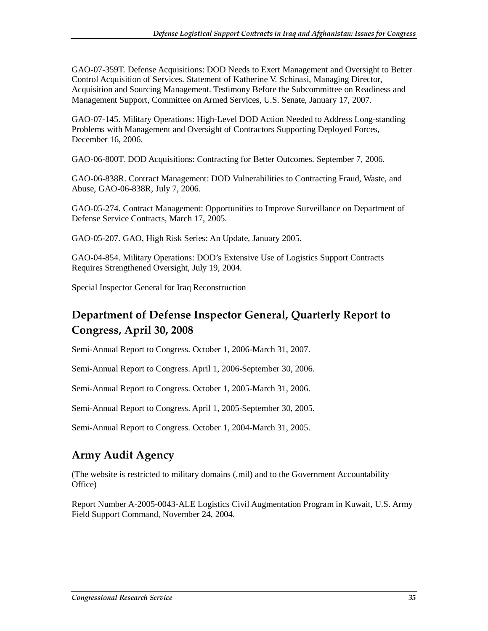GAO-07-359T. Defense Acquisitions: DOD Needs to Exert Management and Oversight to Better Control Acquisition of Services. Statement of Katherine V. Schinasi, Managing Director, Acquisition and Sourcing Management. Testimony Before the Subcommittee on Readiness and Management Support, Committee on Armed Services, U.S. Senate, January 17, 2007.

GAO-07-145. Military Operations: High-Level DOD Action Needed to Address Long-standing Problems with Management and Oversight of Contractors Supporting Deployed Forces, December 16, 2006.

GAO-06-800T. DOD Acquisitions: Contracting for Better Outcomes. September 7, 2006.

GAO-06-838R. Contract Management: DOD Vulnerabilities to Contracting Fraud, Waste, and Abuse, GAO-06-838R, July 7, 2006.

GAO-05-274. Contract Management: Opportunities to Improve Surveillance on Department of Defense Service Contracts, March 17, 2005.

GAO-05-207. GAO, High Risk Series: An Update, January 2005.

GAO-04-854. Military Operations: DOD's Extensive Use of Logistics Support Contracts Requires Strengthened Oversight, July 19, 2004.

Special Inspector General for Iraq Reconstruction

## **Department of Defense Inspector General, Quarterly Report to Congress, April 30, 2008**

Semi-Annual Report to Congress. October 1, 2006-March 31, 2007.

Semi-Annual Report to Congress. April 1, 2006-September 30, 2006.

Semi-Annual Report to Congress. October 1, 2005-March 31, 2006.

Semi-Annual Report to Congress. April 1, 2005-September 30, 2005.

Semi-Annual Report to Congress. October 1, 2004-March 31, 2005.

## **Army Audit Agency**

(The website is restricted to military domains (.mil) and to the Government Accountability Office)

Report Number A-2005-0043-ALE Logistics Civil Augmentation Program in Kuwait, U.S. Army Field Support Command, November 24, 2004.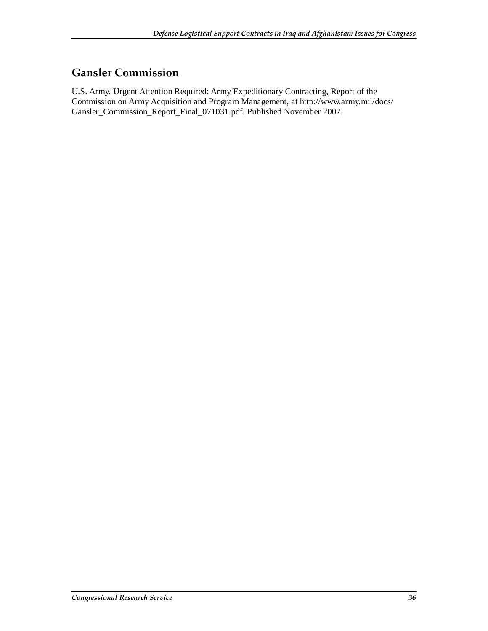## **Gansler Commission**

U.S. Army. Urgent Attention Required: Army Expeditionary Contracting, Report of the Commission on Army Acquisition and Program Management, at http://www.army.mil/docs/ Gansler\_Commission\_Report\_Final\_071031.pdf. Published November 2007.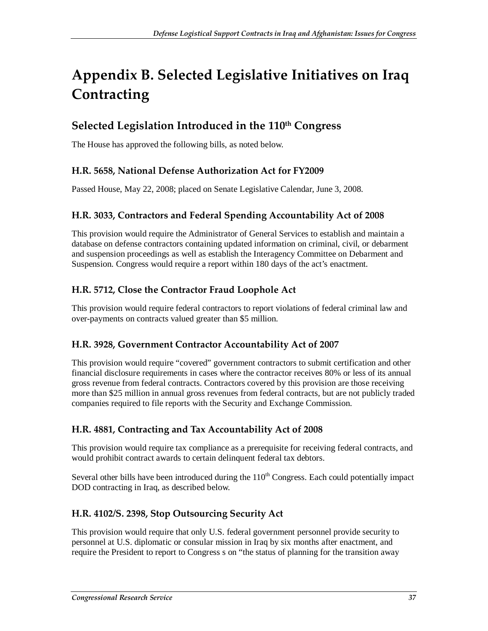# **Appendix B. Selected Legislative Initiatives on Iraq Contracting**

## Selected Legislation Introduced in the 110<sup>th</sup> Congress

The House has approved the following bills, as noted below.

#### **H.R. 5658, National Defense Authorization Act for FY2009**

Passed House, May 22, 2008; placed on Senate Legislative Calendar, June 3, 2008.

#### **H.R. 3033, Contractors and Federal Spending Accountability Act of 2008**

This provision would require the Administrator of General Services to establish and maintain a database on defense contractors containing updated information on criminal, civil, or debarment and suspension proceedings as well as establish the Interagency Committee on Debarment and Suspension. Congress would require a report within 180 days of the act's enactment.

#### **H.R. 5712, Close the Contractor Fraud Loophole Act**

This provision would require federal contractors to report violations of federal criminal law and over-payments on contracts valued greater than \$5 million.

#### **H.R. 3928, Government Contractor Accountability Act of 2007**

This provision would require "covered" government contractors to submit certification and other financial disclosure requirements in cases where the contractor receives 80% or less of its annual gross revenue from federal contracts. Contractors covered by this provision are those receiving more than \$25 million in annual gross revenues from federal contracts, but are not publicly traded companies required to file reports with the Security and Exchange Commission.

#### **H.R. 4881, Contracting and Tax Accountability Act of 2008**

This provision would require tax compliance as a prerequisite for receiving federal contracts, and would prohibit contract awards to certain delinquent federal tax debtors.

Several other bills have been introduced during the  $110<sup>th</sup>$  Congress. Each could potentially impact DOD contracting in Iraq, as described below.

#### **H.R. 4102/S. 2398, Stop Outsourcing Security Act**

This provision would require that only U.S. federal government personnel provide security to personnel at U.S. diplomatic or consular mission in Iraq by six months after enactment, and require the President to report to Congress s on "the status of planning for the transition away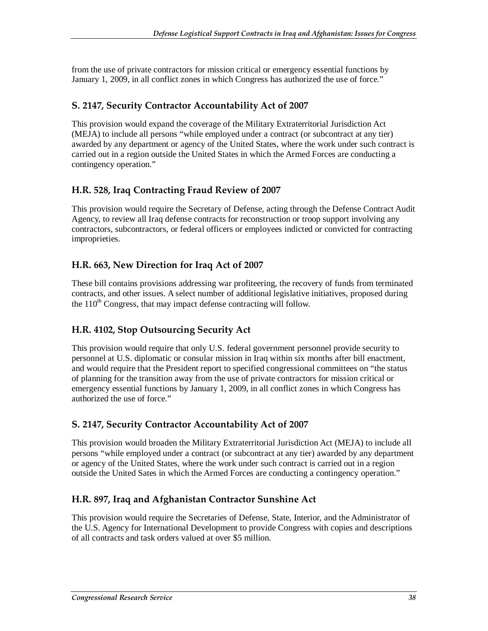from the use of private contractors for mission critical or emergency essential functions by January 1, 2009, in all conflict zones in which Congress has authorized the use of force."

#### **S. 2147, Security Contractor Accountability Act of 2007**

This provision would expand the coverage of the Military Extraterritorial Jurisdiction Act (MEJA) to include all persons "while employed under a contract (or subcontract at any tier) awarded by any department or agency of the United States, where the work under such contract is carried out in a region outside the United States in which the Armed Forces are conducting a contingency operation."

#### **H.R. 528, Iraq Contracting Fraud Review of 2007**

This provision would require the Secretary of Defense, acting through the Defense Contract Audit Agency, to review all Iraq defense contracts for reconstruction or troop support involving any contractors, subcontractors, or federal officers or employees indicted or convicted for contracting improprieties.

#### **H.R. 663, New Direction for Iraq Act of 2007**

These bill contains provisions addressing war profiteering, the recovery of funds from terminated contracts, and other issues. A select number of additional legislative initiatives, proposed during the  $110^{th}$  Congress, that may impact defense contracting will follow.

#### **H.R. 4102, Stop Outsourcing Security Act**

This provision would require that only U.S. federal government personnel provide security to personnel at U.S. diplomatic or consular mission in Iraq within six months after bill enactment, and would require that the President report to specified congressional committees on "the status of planning for the transition away from the use of private contractors for mission critical or emergency essential functions by January 1, 2009, in all conflict zones in which Congress has authorized the use of force."

#### **S. 2147, Security Contractor Accountability Act of 2007**

This provision would broaden the Military Extraterritorial Jurisdiction Act (MEJA) to include all persons "while employed under a contract (or subcontract at any tier) awarded by any department or agency of the United States, where the work under such contract is carried out in a region outside the United Sates in which the Armed Forces are conducting a contingency operation."

#### **H.R. 897, Iraq and Afghanistan Contractor Sunshine Act**

This provision would require the Secretaries of Defense, State, Interior, and the Administrator of the U.S. Agency for International Development to provide Congress with copies and descriptions of all contracts and task orders valued at over \$5 million.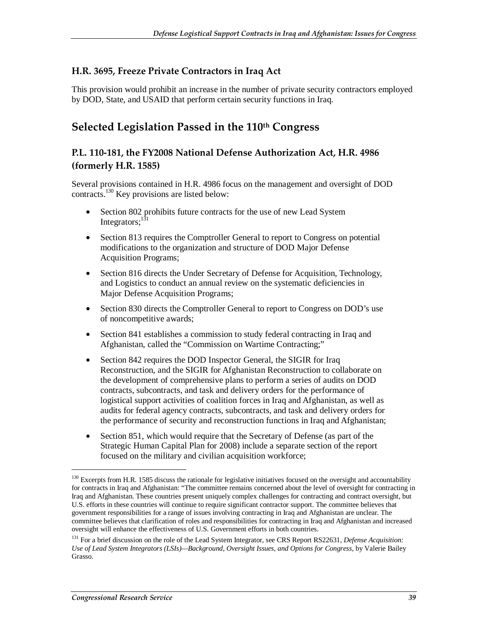#### **H.R. 3695, Freeze Private Contractors in Iraq Act**

This provision would prohibit an increase in the number of private security contractors employed by DOD, State, and USAID that perform certain security functions in Iraq.

### **Selected Legislation Passed in the 110th Congress**

#### **P.L. 110-181, the FY2008 National Defense Authorization Act, H.R. 4986 (formerly H.R. 1585)**

Several provisions contained in H.R. 4986 focus on the management and oversight of DOD contracts.<sup>130</sup> Key provisions are listed below:

- Section 802 prohibits future contracts for the use of new Lead System Integrators:<sup>131</sup>
- Section 813 requires the Comptroller General to report to Congress on potential modifications to the organization and structure of DOD Major Defense Acquisition Programs;
- Section 816 directs the Under Secretary of Defense for Acquisition, Technology, and Logistics to conduct an annual review on the systematic deficiencies in Major Defense Acquisition Programs;
- Section 830 directs the Comptroller General to report to Congress on DOD's use of noncompetitive awards;
- Section 841 establishes a commission to study federal contracting in Iraq and Afghanistan, called the "Commission on Wartime Contracting;"
- Section 842 requires the DOD Inspector General, the SIGIR for Iraq Reconstruction, and the SIGIR for Afghanistan Reconstruction to collaborate on the development of comprehensive plans to perform a series of audits on DOD contracts, subcontracts, and task and delivery orders for the performance of logistical support activities of coalition forces in Iraq and Afghanistan, as well as audits for federal agency contracts, subcontracts, and task and delivery orders for the performance of security and reconstruction functions in Iraq and Afghanistan;
- Section 851, which would require that the Secretary of Defense (as part of the Strategic Human Capital Plan for 2008) include a separate section of the report focused on the military and civilian acquisition workforce;

 $130$  Excerpts from H.R. 1585 discuss the rationale for legislative initiatives focused on the oversight and accountability for contracts in Iraq and Afghanistan: "The committee remains concerned about the level of oversight for contracting in Iraq and Afghanistan. These countries present uniquely complex challenges for contracting and contract oversight, but U.S. efforts in these countries will continue to require significant contractor support. The committee believes that government responsibilities for a range of issues involving contracting in Iraq and Afghanistan are unclear. The committee believes that clarification of roles and responsibilities for contracting in Iraq and Afghanistan and increased oversight will enhance the effectiveness of U.S. Government efforts in both countries.

<sup>131</sup> For a brief discussion on the role of the Lead System Integrator, see CRS Report RS22631, *Defense Acquisition: Use of Lead System Integrators (LSIs)—Background, Oversight Issues, and Options for Congress*, by Valerie Bailey Grasso.